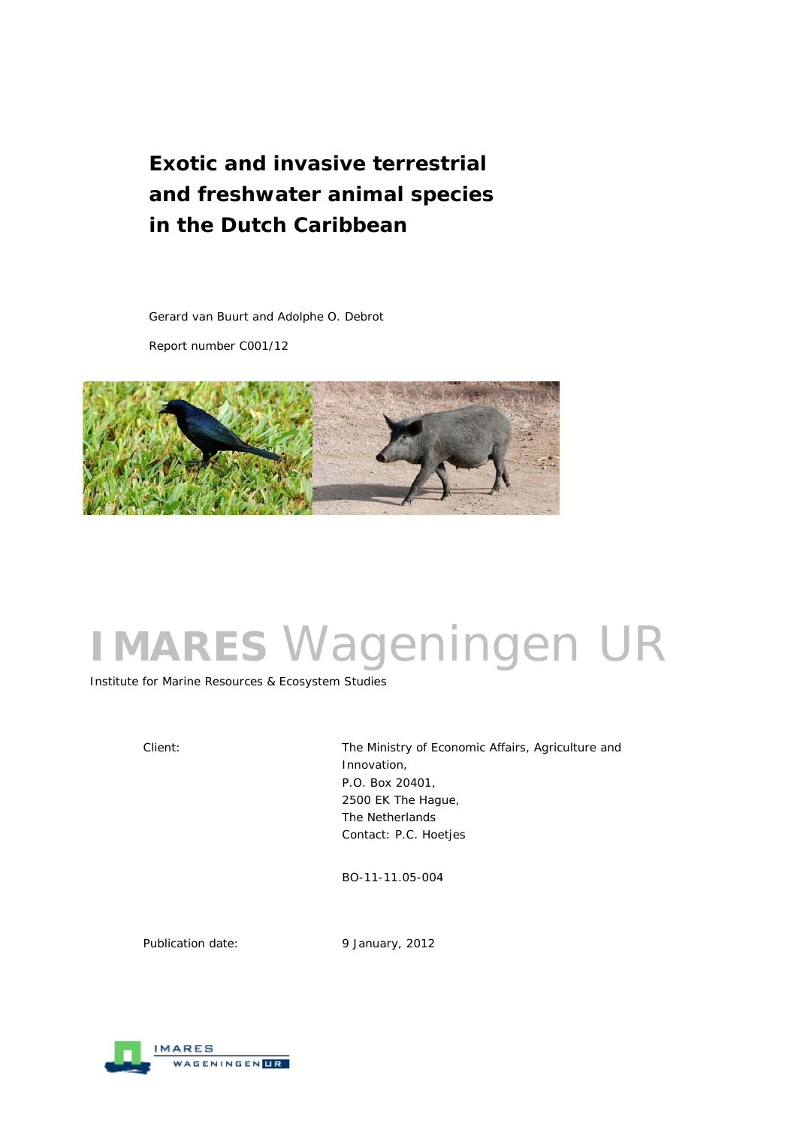# **Exotic and invasive terrestrial and freshwater animal species in the Dutch Caribbean**

Gerard van Buurt and Adolphe O. Debrot

Report number C001/12



# **IMARES** Wageningen UR

Institute for Marine Resources & Ecosystem Studies

Client: The Ministry of Economic Affairs, Agriculture and Innovation, P.O. Box 20401, 2500 EK The Hague, The Netherlands Contact: P.C. Hoetjes

BO-11-11.05-004

Publication date: 9 January, 2012

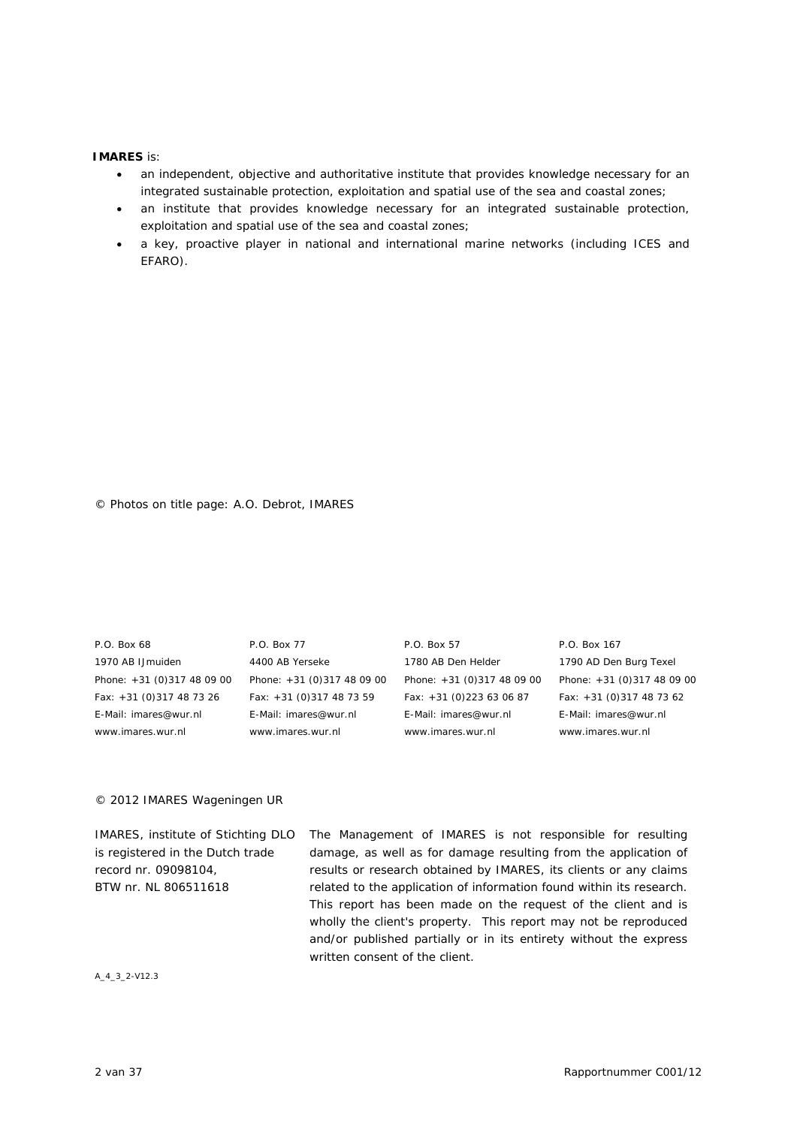#### **IMARES** is:

- an independent, objective and authoritative institute that provides knowledge necessary for an integrated sustainable protection, exploitation and spatial use of the sea and coastal zones;
- an institute that provides knowledge necessary for an integrated sustainable protection, exploitation and spatial use of the sea and coastal zones;
- a key, proactive player in national and international marine networks (including ICES and EFARO).

© Photos on title page: A.O. Debrot, IMARES

| P.O. Box 68                                                                                                                                                                                                                    | P.O. Box 77                          |
|--------------------------------------------------------------------------------------------------------------------------------------------------------------------------------------------------------------------------------|--------------------------------------|
| 1970 AB IJmuiden                                                                                                                                                                                                               | 4400 AB Yerseke                      |
| Phone: +31 (0)317 48 09 00                                                                                                                                                                                                     | Phone: $+31$ (0)3                    |
| Fax: +31 (0)317 48 73 26                                                                                                                                                                                                       | Fax: $+31$ (0)317                    |
| E-Mail: imares@wur.nl                                                                                                                                                                                                          | E-Mail: imares@                      |
| and the second second second second second second second second second second second second second second second second second second second second second second second second second second second second second second seco | as a state these services are served |

P.O. Box 68 P.O. Box 77 P.O. Box 57 P.O. Box 167 e 1780 AB Den Helder 1790 AD Den Burg Texel Phone: +31 (0)317 48 09 00 Phone: +31 (0)317 48 09 00 Phone: +31 (0)317 48 09 00 Phone: +31 (0)317 48 09 00 Fax: +31 (0)317 48 73 26 Fax: +31 (0)317 48 73 59 Fax: +31 (0)223 63 06 87 Fax: +31 (0)317 48 73 62 E-Mail: imares@wur.nl E-Mail: imares@wur.nl E-Mail: imares@wur.nl E-Mail: imares@wur.nl www.imares.wur.nl www.imares.wur.nl www.imares.wur.nl www.imares.wur.nl

#### © 2012 IMARES Wageningen UR

| IMARES, institute of Stichting DLO | The Management of IMARES is not responsible for resulting            |
|------------------------------------|----------------------------------------------------------------------|
| is registered in the Dutch trade   | damage, as well as for damage resulting from the application of      |
| record nr. 09098104,               | results or research obtained by IMARES, its clients or any claims    |
| BTW nr. NL 806511618               | related to the application of information found within its research. |
|                                    | This report has been made on the request of the client and is        |
|                                    | wholly the client's property. This report may not be reproduced      |
|                                    | and/or published partially or in its entirety without the express    |
|                                    | written consent of the client.                                       |

A\_4\_3\_2-V12.3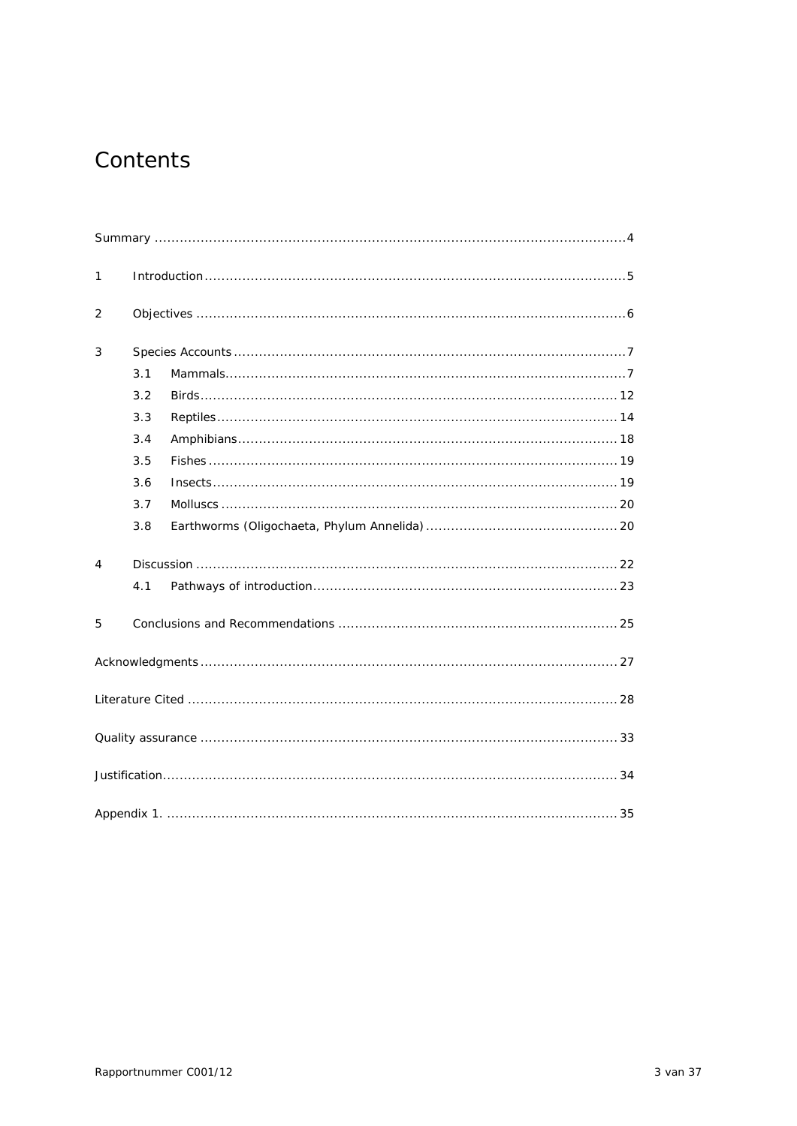# Contents

| 1 |     |                     |  |  |  |  |  |  |  |  |  |  |
|---|-----|---------------------|--|--|--|--|--|--|--|--|--|--|
| 2 |     |                     |  |  |  |  |  |  |  |  |  |  |
| 3 |     |                     |  |  |  |  |  |  |  |  |  |  |
|   | 3.1 |                     |  |  |  |  |  |  |  |  |  |  |
|   | 3.2 |                     |  |  |  |  |  |  |  |  |  |  |
|   | 3.3 |                     |  |  |  |  |  |  |  |  |  |  |
|   | 3.4 |                     |  |  |  |  |  |  |  |  |  |  |
|   | 3.5 |                     |  |  |  |  |  |  |  |  |  |  |
|   | 3.6 | $Insects  \dots 19$ |  |  |  |  |  |  |  |  |  |  |
|   | 3.7 |                     |  |  |  |  |  |  |  |  |  |  |
|   | 3.8 |                     |  |  |  |  |  |  |  |  |  |  |
| 4 |     |                     |  |  |  |  |  |  |  |  |  |  |
|   | 4.1 |                     |  |  |  |  |  |  |  |  |  |  |
| 5 |     |                     |  |  |  |  |  |  |  |  |  |  |
|   |     |                     |  |  |  |  |  |  |  |  |  |  |
|   |     |                     |  |  |  |  |  |  |  |  |  |  |
|   |     |                     |  |  |  |  |  |  |  |  |  |  |
|   |     |                     |  |  |  |  |  |  |  |  |  |  |
|   |     |                     |  |  |  |  |  |  |  |  |  |  |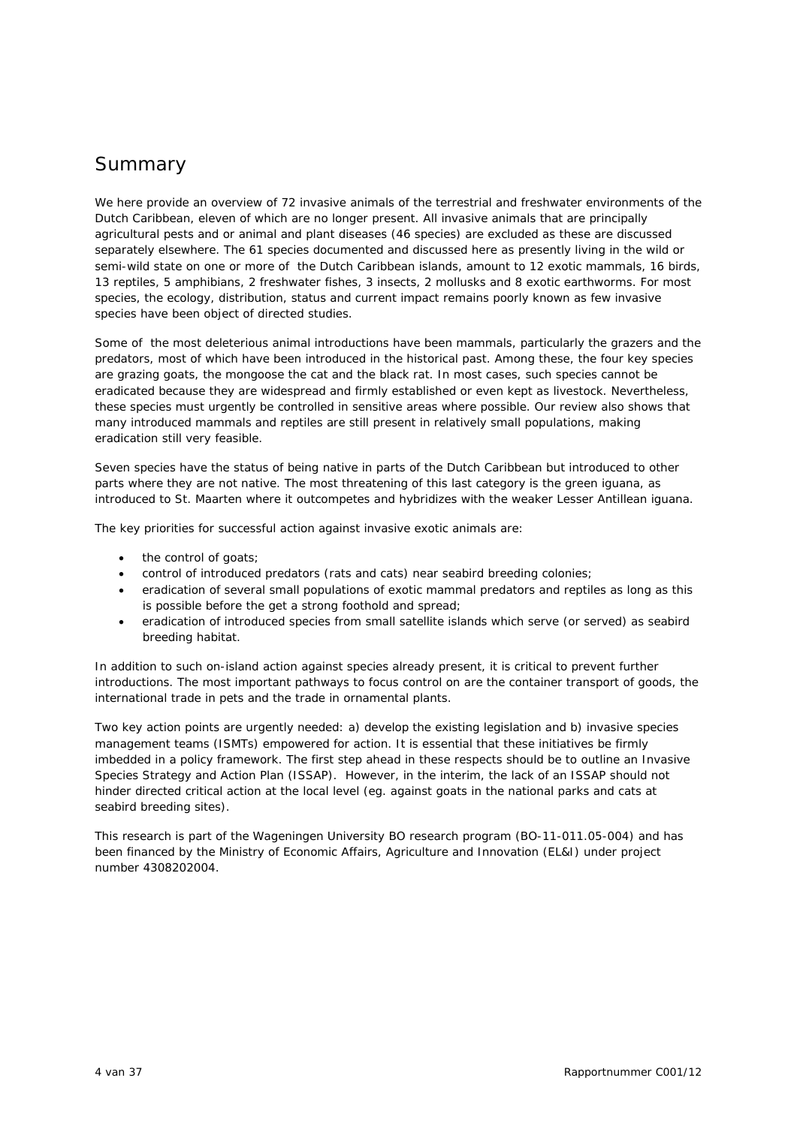# Summary

We here provide an overview of 72 invasive animals of the terrestrial and freshwater environments of the Dutch Caribbean, eleven of which are no longer present. All invasive animals that are principally agricultural pests and or animal and plant diseases (46 species) are excluded as these are discussed separately elsewhere. The 61 species documented and discussed here as presently living in the wild or semi-wild state on one or more of the Dutch Caribbean islands, amount to 12 exotic mammals, 16 birds, 13 reptiles, 5 amphibians, 2 freshwater fishes, 3 insects, 2 mollusks and 8 exotic earthworms. For most species, the ecology, distribution, status and current impact remains poorly known as few invasive species have been object of directed studies.

Some of the most deleterious animal introductions have been mammals, particularly the grazers and the predators, most of which have been introduced in the historical past. Among these, the four key species are grazing goats, the mongoose the cat and the black rat. In most cases, such species cannot be eradicated because they are widespread and firmly established or even kept as livestock. Nevertheless, these species must urgently be controlled in sensitive areas where possible. Our review also shows that many introduced mammals and reptiles are still present in relatively small populations, making eradication still very feasible.

Seven species have the status of being native in parts of the Dutch Caribbean but introduced to other parts where they are not native. The most threatening of this last category is the green iguana, as introduced to St. Maarten where it outcompetes and hybridizes with the weaker Lesser Antillean iguana.

The key priorities for successful action against invasive exotic animals are:

- the control of goats;
- control of introduced predators (rats and cats) near seabird breeding colonies;
- eradication of several small populations of exotic mammal predators and reptiles as long as this is possible before the get a strong foothold and spread;
- eradication of introduced species from small satellite islands which serve (or served) as seabird breeding habitat.

In addition to such on-island action against species already present, it is critical to prevent further introductions. The most important pathways to focus control on are the container transport of goods, the international trade in pets and the trade in ornamental plants.

Two key action points are urgently needed: a) develop the existing legislation and b) invasive species management teams (ISMTs) empowered for action. It is essential that these initiatives be firmly imbedded in a policy framework. The first step ahead in these respects should be to outline an Invasive Species Strategy and Action Plan (ISSAP). However, in the interim, the lack of an ISSAP should not hinder directed critical action at the local level (eg. against goats in the national parks and cats at seabird breeding sites).

This research is part of the Wageningen University BO research program (BO-11-011.05-004) and has been financed by the Ministry of Economic Affairs, Agriculture and Innovation (EL&I) under project number 4308202004.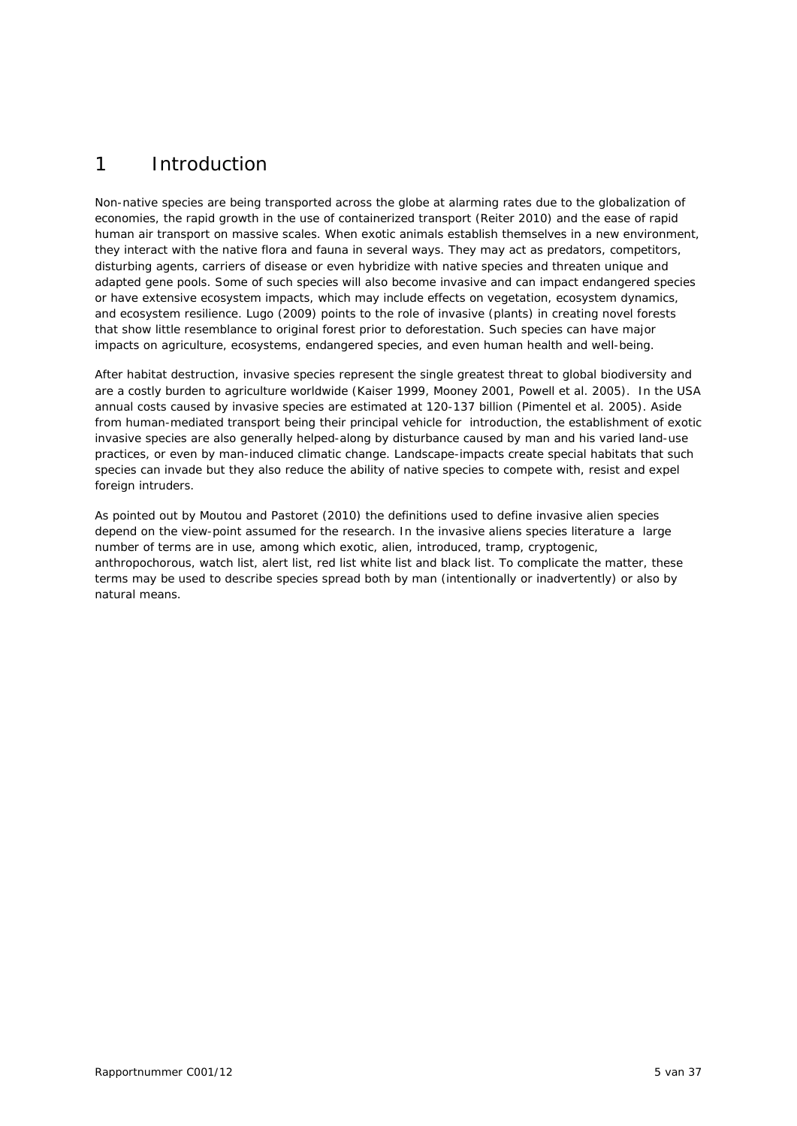# 1 Introduction

Non-native species are being transported across the globe at alarming rates due to the globalization of economies, the rapid growth in the use of containerized transport (Reiter 2010) and the ease of rapid human air transport on massive scales. When exotic animals establish themselves in a new environment, they interact with the native flora and fauna in several ways. They may act as predators, competitors, disturbing agents, carriers of disease or even hybridize with native species and threaten unique and adapted gene pools. Some of such species will also become invasive and can impact endangered species or have extensive ecosystem impacts, which may include effects on vegetation, ecosystem dynamics, and ecosystem resilience. Lugo (2009) points to the role of invasive (plants) in creating novel forests that show little resemblance to original forest prior to deforestation. Such species can have major impacts on agriculture, ecosystems, endangered species, and even human health and well-being.

After habitat destruction, invasive species represent the single greatest threat to global biodiversity and are a costly burden to agriculture worldwide (Kaiser 1999, Mooney 2001, Powell et al. 2005). In the USA annual costs caused by invasive species are estimated at 120-137 billion (Pimentel *et al.* 2005). Aside from human-mediated transport being their principal vehicle for introduction, the establishment of exotic invasive species are also generally helped-along by disturbance caused by man and his varied land-use practices, or even by man-induced climatic change. Landscape-impacts create special habitats that such species can invade but they also reduce the ability of native species to compete with, resist and expel foreign intruders.

As pointed out by Moutou and Pastoret (2010) the definitions used to define invasive alien species depend on the view-point assumed for the research. In the invasive aliens species literature a large number of terms are in use, among which exotic, alien, introduced, tramp, cryptogenic, anthropochorous, watch list, alert list, red list white list and black list. To complicate the matter, these terms may be used to describe species spread both by man (intentionally or inadvertently) or also by natural means.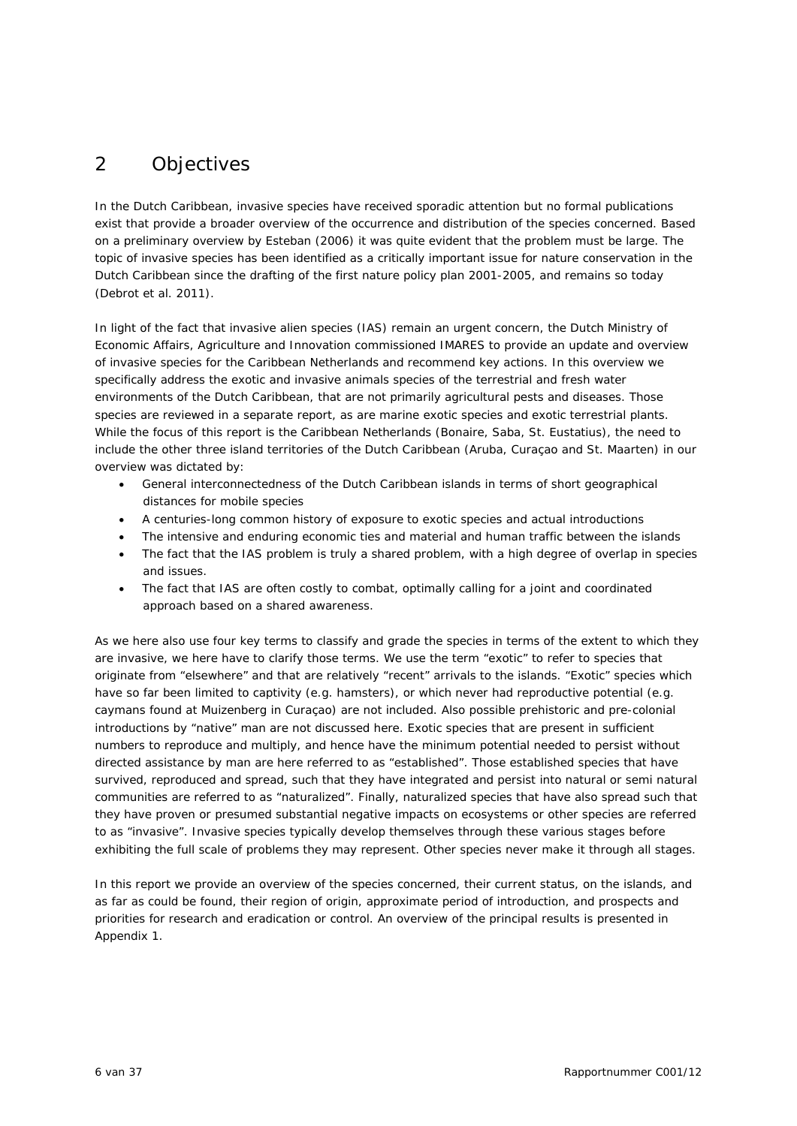# 2 Objectives

In the Dutch Caribbean, invasive species have received sporadic attention but no formal publications exist that provide a broader overview of the occurrence and distribution of the species concerned. Based on a preliminary overview by Esteban (2006) it was quite evident that the problem must be large. The topic of invasive species has been identified as a critically important issue for nature conservation in the Dutch Caribbean since the drafting of the first nature policy plan 2001-2005, and remains so today (Debrot *et al.* 2011).

In light of the fact that invasive alien species (IAS) remain an urgent concern, the Dutch Ministry of Economic Affairs, Agriculture and Innovation commissioned IMARES to provide an update and overview of invasive species for the Caribbean Netherlands and recommend key actions. In this overview we specifically address the exotic and invasive animals species of the terrestrial and fresh water environments of the Dutch Caribbean, that are not primarily agricultural pests and diseases. Those species are reviewed in a separate report, as are marine exotic species and exotic terrestrial plants. While the focus of this report is the Caribbean Netherlands (Bonaire, Saba, St. Eustatius), the need to include the other three island territories of the Dutch Caribbean (Aruba, Curaçao and St. Maarten) in our overview was dictated by:

- General interconnectedness of the Dutch Caribbean islands in terms of short geographical distances for mobile species
- A centuries-long common history of exposure to exotic species and actual introductions
- The intensive and enduring economic ties and material and human traffic between the islands
- The fact that the IAS problem is truly a shared problem, with a high degree of overlap in species and issues.
- The fact that IAS are often costly to combat, optimally calling for a joint and coordinated approach based on a shared awareness.

As we here also use four key terms to classify and grade the species in terms of the extent to which they are invasive, we here have to clarify those terms. We use the term "exotic" to refer to species that originate from "elsewhere" and that are relatively "recent" arrivals to the islands. "Exotic" species which have so far been limited to captivity (e.g. hamsters), or which never had reproductive potential (e.g. caymans found at Muizenberg in Curaçao) are not included. Also possible prehistoric and pre-colonial introductions by "native" man are not discussed here. Exotic species that are present in sufficient numbers to reproduce and multiply, and hence have the minimum potential needed to persist without directed assistance by man are here referred to as "established". Those established species that have survived, reproduced and spread, such that they have integrated and persist into natural or semi natural communities are referred to as "naturalized". Finally, naturalized species that have also spread such that they have proven or presumed substantial negative impacts on ecosystems or other species are referred to as "invasive". Invasive species typically develop themselves through these various stages before exhibiting the full scale of problems they may represent. Other species never make it through all stages.

In this report we provide an overview of the species concerned, their current status, on the islands, and as far as could be found, their region of origin, approximate period of introduction, and prospects and priorities for research and eradication or control. An overview of the principal results is presented in Appendix 1.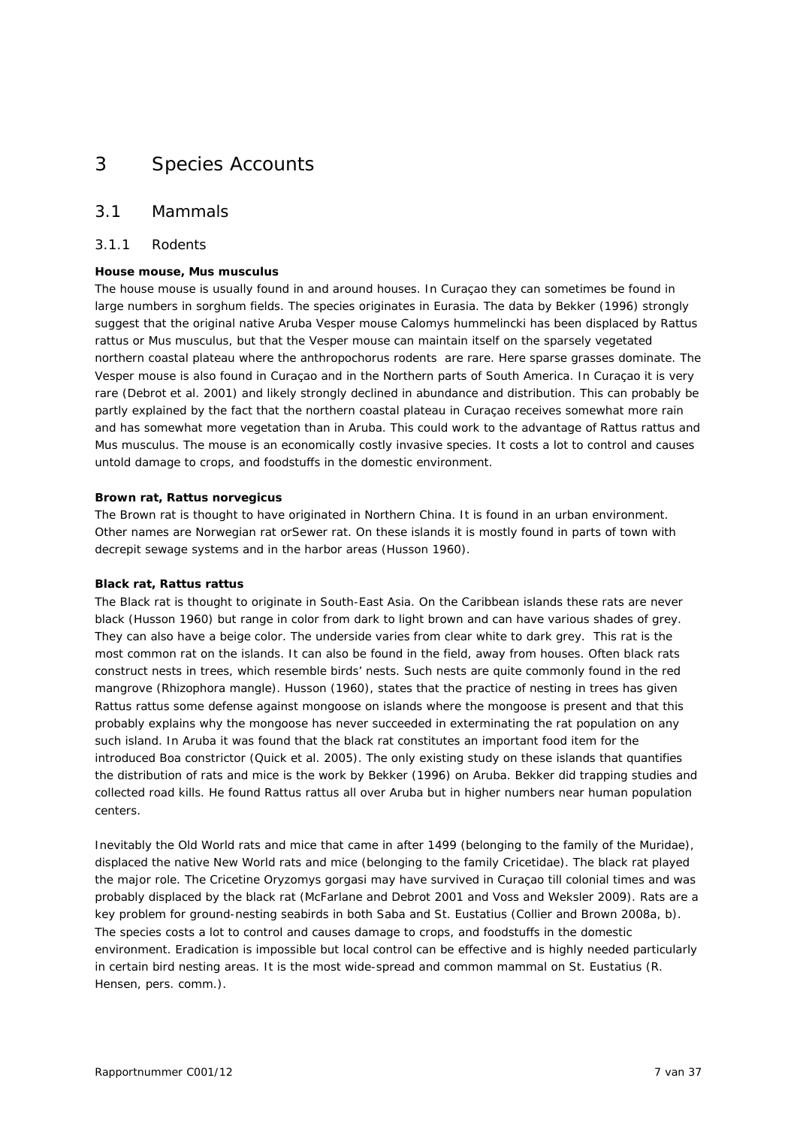# 3 Species Accounts

#### 3.1 Mammals

#### 3.1.1 Rodents

#### **House mouse,** *Mus musculus*

The house mouse is usually found in and around houses. In Curaçao they can sometimes be found in large numbers in sorghum fields. The species originates in Eurasia. The data by Bekker (1996) strongly suggest that the original native Aruba Vesper mouse *Calomys hummelincki* has been displaced by *Rattus rattus or Mus musculus*, but that the Vesper mouse can maintain itself on the sparsely vegetated northern coastal plateau where the anthropochorus rodents are rare. Here sparse grasses dominate. The Vesper mouse is also found in Curaçao and in the Northern parts of South America. In Curaçao it is very rare (Debrot *et al.* 2001) and likely strongly declined in abundance and distribution. This can probably be partly explained by the fact that the northern coastal plateau in Curaçao receives somewhat more rain and has somewhat more vegetation than in Aruba. This could work to the advantage of *Rattus rattus* and *Mus musculus.* The mouse is an economically costly invasive species. It costs a lot to control and causes untold damage to crops, and foodstuffs in the domestic environment.

#### **Brown rat,** *Rattus norvegicus*

The Brown rat is thought to have originated in Northern China. It is found in an urban environment. Other names are Norwegian rat orSewer rat. On these islands it is mostly found in parts of town with decrepit sewage systems and in the harbor areas (Husson 1960).

#### **Black rat,** *Rattus rattus*

The Black rat is thought to originate in South-East Asia. On the Caribbean islands these rats are never black (Husson 1960) but range in color from dark to light brown and can have various shades of grey. They can also have a beige color. The underside varies from clear white to dark grey. This rat is the most common rat on the islands. It can also be found in the field, away from houses. Often black rats construct nests in trees, which resemble birds' nests. Such nests are quite commonly found in the red mangrove (*Rhizophora mangle*). Husson (1960), states that the practice of nesting in trees has given *Rattus rattus* some defense against mongoose on islands where the mongoose is present and that this probably explains why the mongoose has never succeeded in exterminating the rat population on any such island. In Aruba it was found that the black rat constitutes an important food item for the introduced *Boa constrictor* (Quick *et al*. 2005). The only existing study on these islands that quantifies the distribution of rats and mice is the work by Bekker (1996) on Aruba. Bekker did trapping studies and collected road kills. He found *Rattus rattus* all over Aruba but in higher numbers near human population centers.

Inevitably the Old World rats and mice that came in after 1499 (belonging to the family of the Muridae), displaced the native New World rats and mice (belonging to the family Cricetidae). The black rat played the major role. The Cricetine *Oryzomys gorgasi* may have survived in Curaçao till colonial times and was probably displaced by the black rat (McFarlane and Debrot 2001 and Voss and Weksler 2009). Rats are a key problem for ground-nesting seabirds in both Saba and St. Eustatius (Collier and Brown 2008a, b). The species costs a lot to control and causes damage to crops, and foodstuffs in the domestic environment. Eradication is impossible but local control can be effective and is highly needed particularly in certain bird nesting areas. It is the most wide-spread and common mammal on St. Eustatius (R. Hensen, pers. comm.).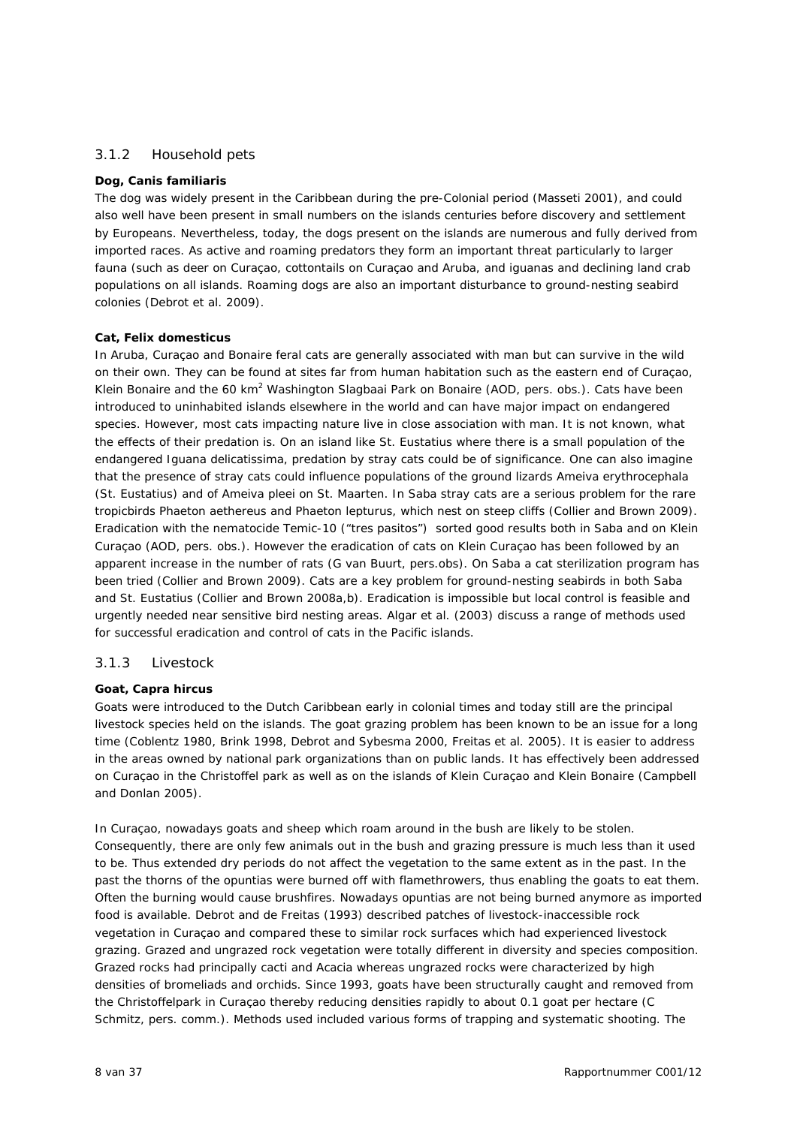#### 3.1.2 Household pets

#### **Dog,** *Canis familiaris*

The dog was widely present in the Caribbean during the pre-Colonial period (Masseti 2001), and could also well have been present in small numbers on the islands centuries before discovery and settlement by Europeans. Nevertheless, today, the dogs present on the islands are numerous and fully derived from imported races. As active and roaming predators they form an important threat particularly to larger fauna (such as deer on Curaçao, cottontails on Curaçao and Aruba, and iguanas and declining land crab populations on all islands. Roaming dogs are also an important disturbance to ground-nesting seabird colonies (Debrot *et al.* 2009).

#### **Cat,** *Felix domesticus*

In Aruba, Curaçao and Bonaire feral cats are generally associated with man but can survive in the wild on their own. They can be found at sites far from human habitation such as the eastern end of Curaçao, Klein Bonaire and the 60 km<sup>2</sup> Washington Slagbaai Park on Bonaire (AOD, pers. obs.). Cats have been introduced to uninhabited islands elsewhere in the world and can have major impact on endangered species. However, most cats impacting nature live in close association with man. It is not known, what the effects of their predation is. On an island like St. Eustatius where there is a small population of the endangered *Iguana delicatissima*, predation by stray cats could be of significance. One can also imagine that the presence of stray cats could influence populations of the ground lizards *Ameiva erythrocephala* (St. Eustatius) and of *Ameiva pleei* on St. Maarten. In Saba stray cats are a serious problem for the rare tropicbirds *Phaeton aethereus* and *Phaeton lepturus*, which nest on steep cliffs (Collier and Brown 2009). Eradication with the nematocide Temic-10 ("tres pasitos") sorted good results both in Saba and on Klein Curaçao (AOD, pers. obs.). However the eradication of cats on Klein Curaçao has been followed by an apparent increase in the number of rats (G van Buurt, pers.obs). On Saba a cat sterilization program has been tried (Collier and Brown 2009). Cats are a key problem for ground-nesting seabirds in both Saba and St. Eustatius (Collier and Brown 2008a,b). Eradication is impossible but local control is feasible and urgently needed near sensitive bird nesting areas. Algar *et al.* (2003) discuss a range of methods used for successful eradication and control of cats in the Pacific islands.

#### 3.1.3 Livestock

#### **Goat,** *Capra hircus*

Goats were introduced to the Dutch Caribbean early in colonial times and today still are the principal livestock species held on the islands. The goat grazing problem has been known to be an issue for a long time (Coblentz 1980, Brink 1998, Debrot and Sybesma 2000, Freitas *et al.* 2005). It is easier to address in the areas owned by national park organizations than on public lands. It has effectively been addressed on Curaçao in the Christoffel park as well as on the islands of Klein Curaçao and Klein Bonaire (Campbell and Donlan 2005).

In Curaçao, nowadays goats and sheep which roam around in the bush are likely to be stolen. Consequently, there are only few animals out in the bush and grazing pressure is much less than it used to be. Thus extended dry periods do not affect the vegetation to the same extent as in the past. In the past the thorns of the opuntias were burned off with flamethrowers, thus enabling the goats to eat them. Often the burning would cause brushfires. Nowadays opuntias are not being burned anymore as imported food is available. Debrot and de Freitas (1993) described patches of livestock-inaccessible rock vegetation in Curaçao and compared these to similar rock surfaces which had experienced livestock grazing. Grazed and ungrazed rock vegetation were totally different in diversity and species composition. Grazed rocks had principally cacti and *Acacia* whereas ungrazed rocks were characterized by high densities of bromeliads and orchids. Since 1993, goats have been structurally caught and removed from the Christoffelpark in Curaçao thereby reducing densities rapidly to about 0.1 goat per hectare (C Schmitz, pers. comm.). Methods used included various forms of trapping and systematic shooting. The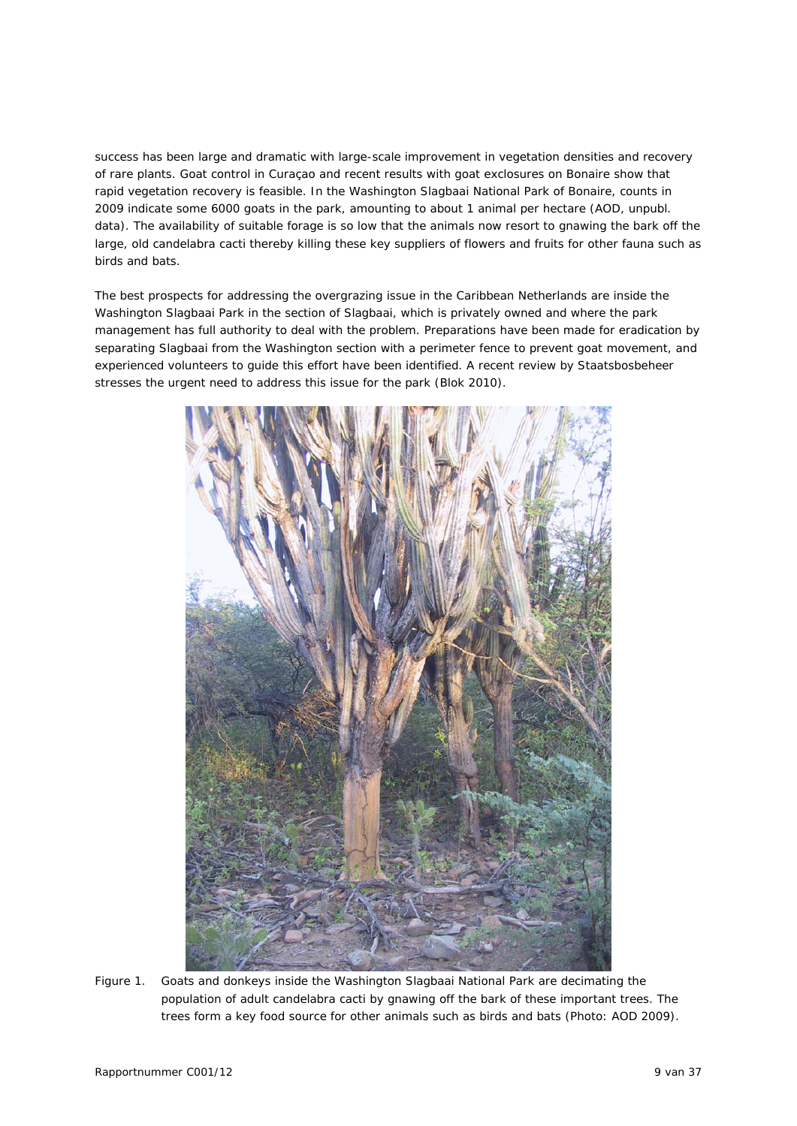success has been large and dramatic with large-scale improvement in vegetation densities and recovery of rare plants. Goat control in Curaçao and recent results with goat exclosures on Bonaire show that rapid vegetation recovery is feasible. In the Washington Slagbaai National Park of Bonaire, counts in 2009 indicate some 6000 goats in the park, amounting to about 1 animal per hectare (AOD, unpubl. data). The availability of suitable forage is so low that the animals now resort to gnawing the bark off the large, old candelabra cacti thereby killing these key suppliers of flowers and fruits for other fauna such as birds and bats.

The best prospects for addressing the overgrazing issue in the Caribbean Netherlands are inside the Washington Slagbaai Park in the section of Slagbaai, which is privately owned and where the park management has full authority to deal with the problem. Preparations have been made for eradication by separating Slagbaai from the Washington section with a perimeter fence to prevent goat movement, and experienced volunteers to guide this effort have been identified. A recent review by Staatsbosbeheer stresses the urgent need to address this issue for the park (Blok 2010).



*Figure 1. Goats and donkeys inside the Washington Slagbaai National Park are decimating the population of adult candelabra cacti by gnawing off the bark of these important trees. The trees form a key food source for other animals such as birds and bats (Photo: AOD 2009).*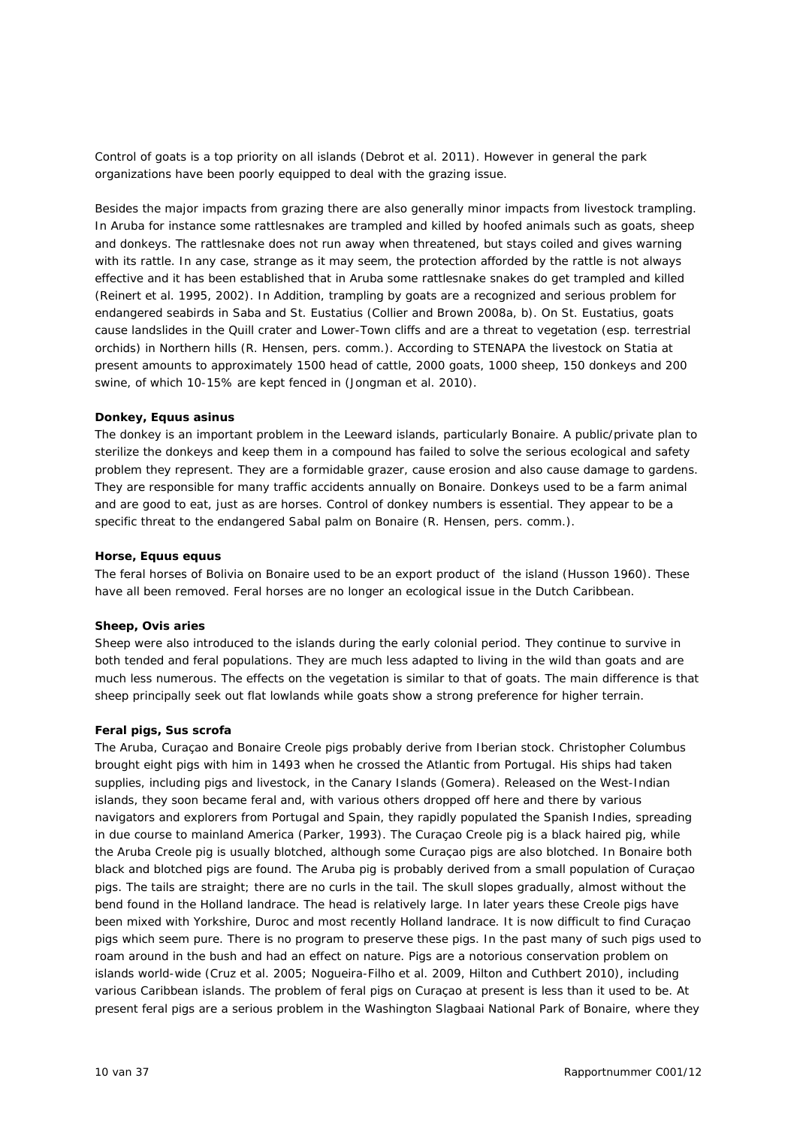Control of goats is a top priority on all islands (Debrot *et al.* 2011). However in general the park organizations have been poorly equipped to deal with the grazing issue.

Besides the major impacts from grazing there are also generally minor impacts from livestock trampling. In Aruba for instance some rattlesnakes are trampled and killed by hoofed animals such as goats, sheep and donkeys. The rattlesnake does not run away when threatened, but stays coiled and gives warning with its rattle. In any case, strange as it may seem, the protection afforded by the rattle is not always effective and it has been established that in Aruba some rattlesnake snakes do get trampled and killed (Reinert *et al.* 1995, 2002). In Addition, trampling by goats are a recognized and serious problem for endangered seabirds in Saba and St. Eustatius (Collier and Brown 2008a, b). On St. Eustatius, goats cause landslides in the Quill crater and Lower-Town cliffs and are a threat to vegetation (esp. terrestrial orchids) in Northern hills (R. Hensen, pers. comm.). According to STENAPA the livestock on Statia at present amounts to approximately 1500 head of cattle, 2000 goats, 1000 sheep, 150 donkeys and 200 swine, of which 10-15% are kept fenced in (Jongman *et al.* 2010).

#### **Donkey,** *Equus asinus*

The donkey is an important problem in the Leeward islands, particularly Bonaire. A public/private plan to sterilize the donkeys and keep them in a compound has failed to solve the serious ecological and safety problem they represent. They are a formidable grazer, cause erosion and also cause damage to gardens. They are responsible for many traffic accidents annually on Bonaire. Donkeys used to be a farm animal and are good to eat, just as are horses. Control of donkey numbers is essential. They appear to be a specific threat to the endangered Sabal palm on Bonaire (R. Hensen, pers. comm.).

#### **Horse,** *Equus equus*

The feral horses of Bolivia on Bonaire used to be an export product of the island (Husson 1960). These have all been removed. Feral horses are no longer an ecological issue in the Dutch Caribbean.

#### **Sheep,** *Ovis aries*

Sheep were also introduced to the islands during the early colonial period. They continue to survive in both tended and feral populations. They are much less adapted to living in the wild than goats and are much less numerous. The effects on the vegetation is similar to that of goats. The main difference is that sheep principally seek out flat lowlands while goats show a strong preference for higher terrain.

#### **Feral pigs,** *Sus scrofa*

The Aruba, Curaçao and Bonaire Creole pigs probably derive from Iberian stock. Christopher Columbus brought eight pigs with him in 1493 when he crossed the Atlantic from Portugal. His ships had taken supplies, including pigs and livestock, in the Canary Islands (Gomera). Released on the West-Indian islands, they soon became feral and, with various others dropped off here and there by various navigators and explorers from Portugal and Spain, they rapidly populated the Spanish Indies, spreading in due course to mainland America (Parker, 1993). The Curaçao Creole pig is a black haired pig, while the Aruba Creole pig is usually blotched, although some Curaçao pigs are also blotched. In Bonaire both black and blotched pigs are found. The Aruba pig is probably derived from a small population of Curaçao pigs. The tails are straight; there are no curls in the tail. The skull slopes gradually, almost without the bend found in the Holland landrace. The head is relatively large. In later years these Creole pigs have been mixed with Yorkshire, Duroc and most recently Holland landrace. It is now difficult to find Curaçao pigs which seem pure. There is no program to preserve these pigs. In the past many of such pigs used to roam around in the bush and had an effect on nature. Pigs are a notorious conservation problem on islands world-wide (Cruz *et al.* 2005; Nogueira-Filho *et al.* 2009, Hilton and Cuthbert 2010), including various Caribbean islands. The problem of feral pigs on Curaçao at present is less than it used to be. At present feral pigs are a serious problem in the Washington Slagbaai National Park of Bonaire, where they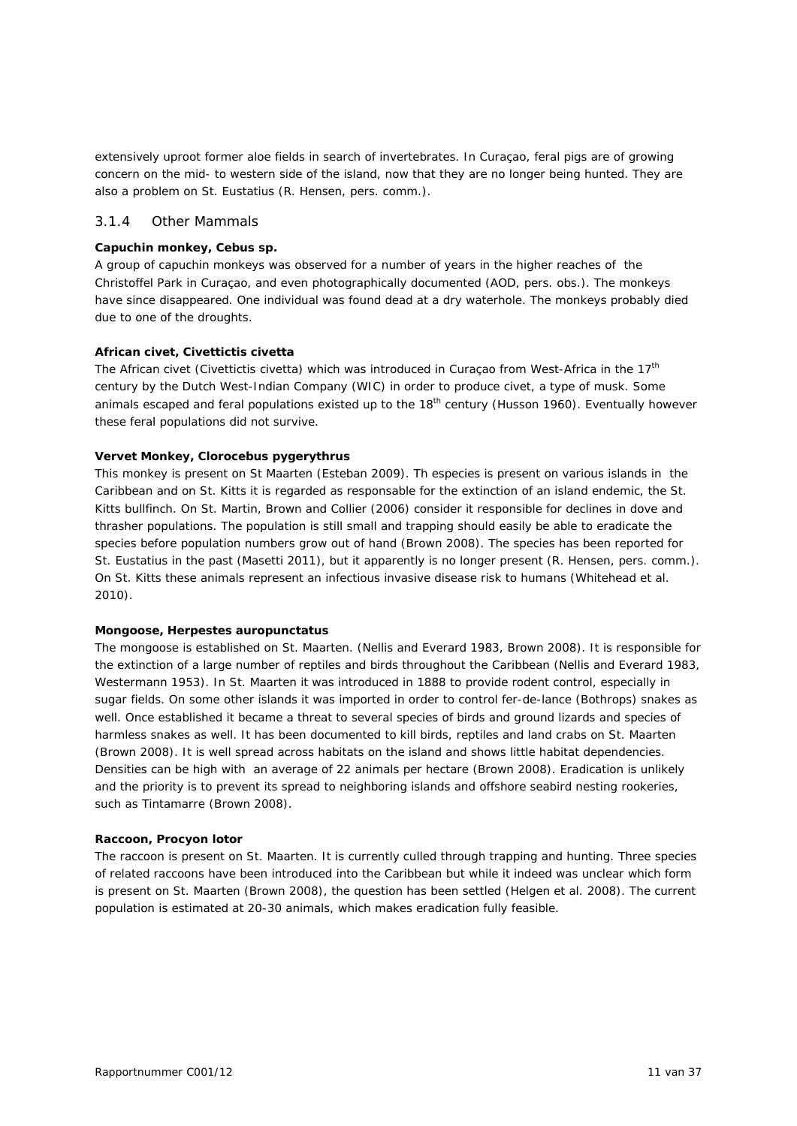extensively uproot former aloe fields in search of invertebrates. In Curaçao, feral pigs are of growing concern on the mid- to western side of the island, now that they are no longer being hunted. They are also a problem on St. Eustatius (R. Hensen, pers. comm.).

#### 3.1.4 Other Mammals

#### **Capuchin monkey,** *Cebus* **sp.**

A group of capuchin monkeys was observed for a number of years in the higher reaches of the Christoffel Park in Curaçao, and even photographically documented (AOD, pers. obs.). The monkeys have since disappeared. One individual was found dead at a dry waterhole. The monkeys probably died due to one of the droughts.

#### **African civet,** *Civettictis civetta*

The African civet (*Civettictis civetta*) which was introduced in Curaçao from West-Africa in the 17th century by the Dutch West-Indian Company (WIC) in order to produce civet, a type of musk. Some animals escaped and feral populations existed up to the 18<sup>th</sup> century (Husson 1960). Eventually however these feral populations did not survive.

#### **Vervet Monkey,** *Clorocebus pygerythrus*

This monkey is present on St Maarten (Esteban 2009). Th especies is present on various islands in the Caribbean and on St. Kitts it is regarded as responsable for the extinction of an island endemic, the St. Kitts bullfinch. On St. Martin, Brown and Collier (2006) consider it responsible for declines in dove and thrasher populations. The population is still small and trapping should easily be able to eradicate the species before population numbers grow out of hand (Brown 2008). The species has been reported for St. Eustatius in the past (Masetti 2011), but it apparently is no longer present (R. Hensen, pers. comm.). On St. Kitts these animals represent an infectious invasive disease risk to humans (Whitehead *et al.* 2010).

#### **Mongoose,** *Herpestes auropunctatus*

The mongoose is established on St. Maarten. (Nellis and Everard 1983, Brown 2008). It is responsible for the extinction of a large number of reptiles and birds throughout the Caribbean (Nellis and Everard 1983, Westermann 1953). In St. Maarten it was introduced in 1888 to provide rodent control, especially in sugar fields. On some other islands it was imported in order to control fer-de-lance (*Bothrops*) snakes as well. Once established it became a threat to several species of birds and ground lizards and species of harmless snakes as well. It has been documented to kill birds, reptiles and land crabs on St. Maarten (Brown 2008). It is well spread across habitats on the island and shows little habitat dependencies. Densities can be high with an average of 22 animals per hectare (Brown 2008). Eradication is unlikely and the priority is to prevent its spread to neighboring islands and offshore seabird nesting rookeries, such as Tintamarre (Brown 2008).

#### **Raccoon,** *Procyon lotor*

The raccoon is present on St. Maarten. It is currently culled through trapping and hunting. Three species of related raccoons have been introduced into the Caribbean but while it indeed was unclear which form is present on St. Maarten (Brown 2008), the question has been settled (Helgen *et al.* 2008). The current population is estimated at 20-30 animals, which makes eradication fully feasible.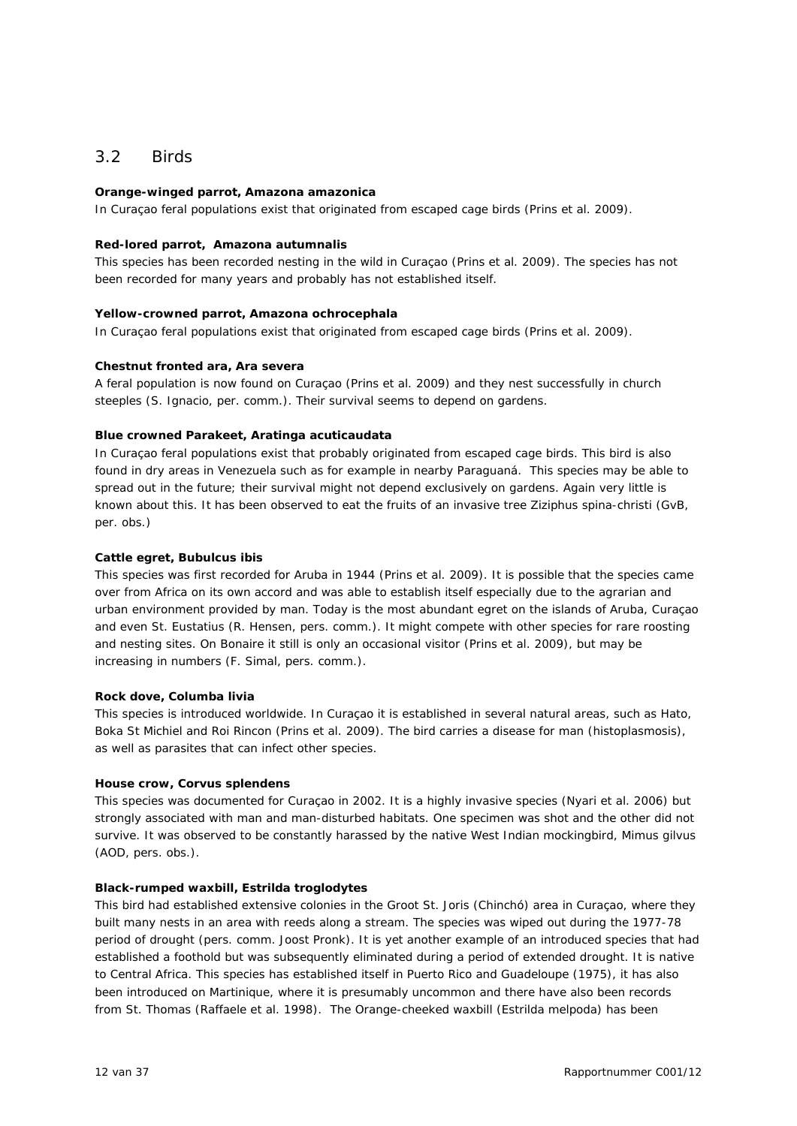#### 3.2 Birds

#### **Orange-winged parrot,** *Amazona amazonica*

In Curaçao feral populations exist that originated from escaped cage birds (Prins *et al.* 2009).

#### **Red-lored parrot,** *Amazona autumnalis*

This species has been recorded nesting in the wild in Curaçao (Prins *et al.* 2009). The species has not been recorded for many years and probably has not established itself.

#### **Yellow-crowned parrot,** *Amazona ochrocephala*

In Curaçao feral populations exist that originated from escaped cage birds (Prins *et al.* 2009).

#### **Chestnut fronted ara,** *Ara severa*

A feral population is now found on Curaçao (Prins *et al.* 2009) and they nest successfully in church steeples (S. Ignacio, per. comm.). Their survival seems to depend on gardens.

#### **Blue crowned Parakeet,** *Aratinga acuticaudata*

In Curaçao feral populations exist that probably originated from escaped cage birds. This bird is also found in dry areas in Venezuela such as for example in nearby Paraguaná. This species may be able to spread out in the future; their survival might not depend exclusively on gardens. Again very little is known about this. It has been observed to eat the fruits of an invasive tree *Ziziphus spina-christi* (GvB, per. obs.)

#### **Cattle egret,** *Bubulcus ibis*

This species was first recorded for Aruba in 1944 (Prins *et al.* 2009). It is possible that the species came over from Africa on its own accord and was able to establish itself especially due to the agrarian and urban environment provided by man. Today is the most abundant egret on the islands of Aruba, Curaçao and even St. Eustatius (R. Hensen, pers. comm.). It might compete with other species for rare roosting and nesting sites. On Bonaire it still is only an occasional visitor (Prins *et al.* 2009), but may be increasing in numbers (F. Simal, pers. comm.).

#### **Rock dove,** *Columba livia*

This species is introduced worldwide. In Curaçao it is established in several natural areas, such as Hato, Boka St Michiel and Roi Rincon (Prins *et al.* 2009). The bird carries a disease for man (histoplasmosis), as well as parasites that can infect other species.

#### **House crow,** *Corvus splendens*

This species was documented for Curaçao in 2002. It is a highly invasive species (Nyari *et al.* 2006) but strongly associated with man and man-disturbed habitats. One specimen was shot and the other did not survive. It was observed to be constantly harassed by the native West Indian mockingbird, *Mimus gilvus* (AOD, pers. obs.).

#### **Black-rumped waxbill,** *Estrilda troglodytes*

This bird had established extensive colonies in the Groot St. Joris (Chinchó) area in Curaçao, where they built many nests in an area with reeds along a stream. The species was wiped out during the 1977-78 period of drought (pers. comm. Joost Pronk). It is yet another example of an introduced species that had established a foothold but was subsequently eliminated during a period of extended drought. It is native to Central Africa. This species has established itself in Puerto Rico and Guadeloupe (1975), it has also been introduced on Martinique, where it is presumably uncommon and there have also been records from St. Thomas (Raffaele *et al.* 1998). The Orange-cheeked waxbill (*Estrilda melpoda*) has been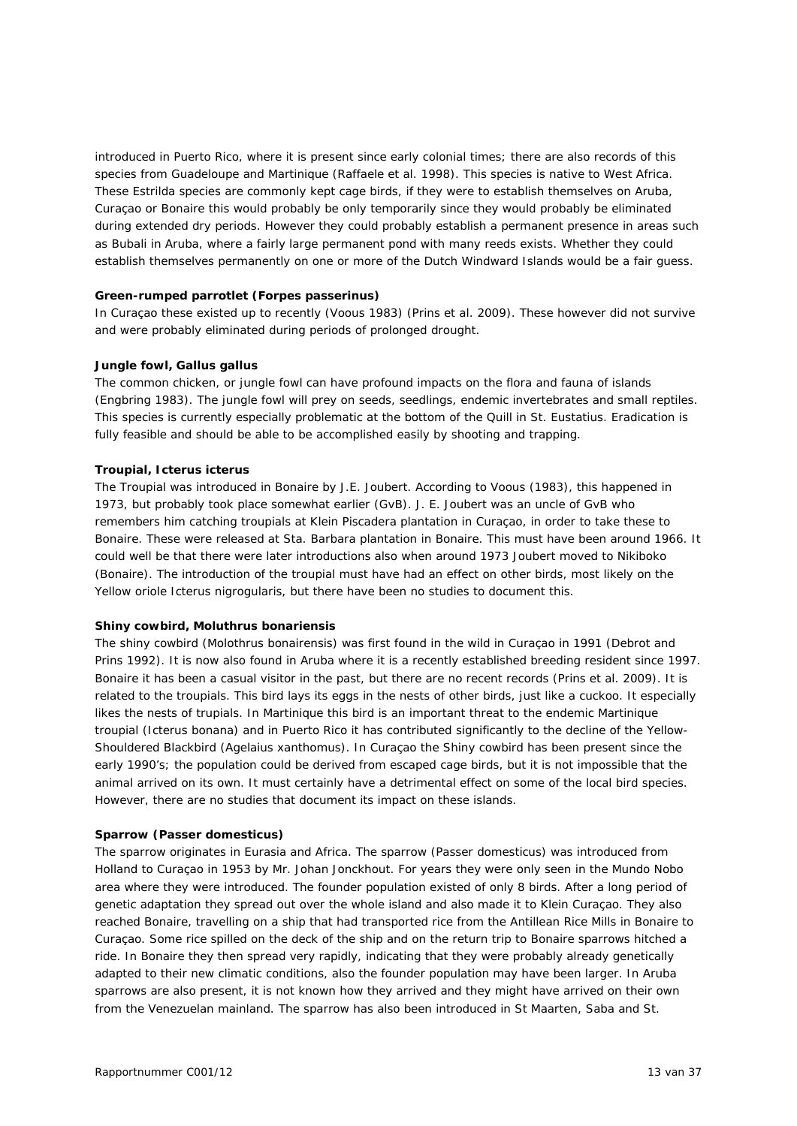introduced in Puerto Rico, where it is present since early colonial times; there are also records of this species from Guadeloupe and Martinique (Raffaele *et al*. 1998). This species is native to West Africa. These *Estrilda* species are commonly kept cage birds, if they were to establish themselves on Aruba, Curaçao or Bonaire this would probably be only temporarily since they would probably be eliminated during extended dry periods. However they could probably establish a permanent presence in areas such as Bubali in Aruba, where a fairly large permanent pond with many reeds exists. Whether they could establish themselves permanently on one or more of the Dutch Windward Islands would be a fair guess.

#### **Green-rumped parrotlet (***Forpes passerinus***)**

In Curaçao these existed up to recently (Voous 1983) (Prins *et al.* 2009). These however did not survive and were probably eliminated during periods of prolonged drought.

#### **Jungle fowl,** *Gallus gallus*

The common chicken, or jungle fowl can have profound impacts on the flora and fauna of islands (Engbring 1983). The jungle fowl will prey on seeds, seedlings, endemic invertebrates and small reptiles. This species is currently especially problematic at the bottom of the Quill in St. Eustatius. Eradication is fully feasible and should be able to be accomplished easily by shooting and trapping.

#### **Troupial,** *Icterus icterus*

The Troupial was introduced in Bonaire by J.E. Joubert. According to Voous (1983), this happened in 1973, but probably took place somewhat earlier (GvB). J. E. Joubert was an uncle of GvB who remembers him catching troupials at Klein Piscadera plantation in Curaçao, in order to take these to Bonaire. These were released at Sta. Barbara plantation in Bonaire. This must have been around 1966. It could well be that there were later introductions also when around 1973 Joubert moved to Nikiboko (Bonaire). The introduction of the troupial must have had an effect on other birds, most likely on the Yellow oriole *Icterus nigrogularis*, but there have been no studies to document this.

#### **Shiny cowbird,** *Moluthrus bonariensis*

The shiny cowbird (*Molothrus bonairensis*) was first found in the wild in Curaçao in 1991 (Debrot and Prins 1992). It is now also found in Aruba where it is a recently established breeding resident since 1997. Bonaire it has been a casual visitor in the past, but there are no recent records (Prins *et al.* 2009). It is related to the troupials. This bird lays its eggs in the nests of other birds, just like a cuckoo. It especially likes the nests of trupials. In Martinique this bird is an important threat to the endemic Martinique troupial (*Icterus bonana*) and in Puerto Rico it has contributed significantly to the decline of the Yellow-Shouldered Blackbird (*Agelaius xanthomus*). In Curaçao the Shiny cowbird has been present since the early 1990's; the population could be derived from escaped cage birds, but it is not impossible that the animal arrived on its own. It must certainly have a detrimental effect on some of the local bird species. However, there are no studies that document its impact on these islands.

#### **Sparrow (***Passer domesticus***)**

The sparrow originates in Eurasia and Africa. The sparrow (*Passer domesticus*) was introduced from Holland to Curaçao in 1953 by Mr. Johan Jonckhout. For years they were only seen in the Mundo Nobo area where they were introduced. The founder population existed of only 8 birds. After a long period of genetic adaptation they spread out over the whole island and also made it to Klein Curaçao. They also reached Bonaire, travelling on a ship that had transported rice from the Antillean Rice Mills in Bonaire to Curaçao. Some rice spilled on the deck of the ship and on the return trip to Bonaire sparrows hitched a ride. In Bonaire they then spread very rapidly, indicating that they were probably already genetically adapted to their new climatic conditions, also the founder population may have been larger. In Aruba sparrows are also present, it is not known how they arrived and they might have arrived on their own from the Venezuelan mainland. The sparrow has also been introduced in St Maarten, Saba and St.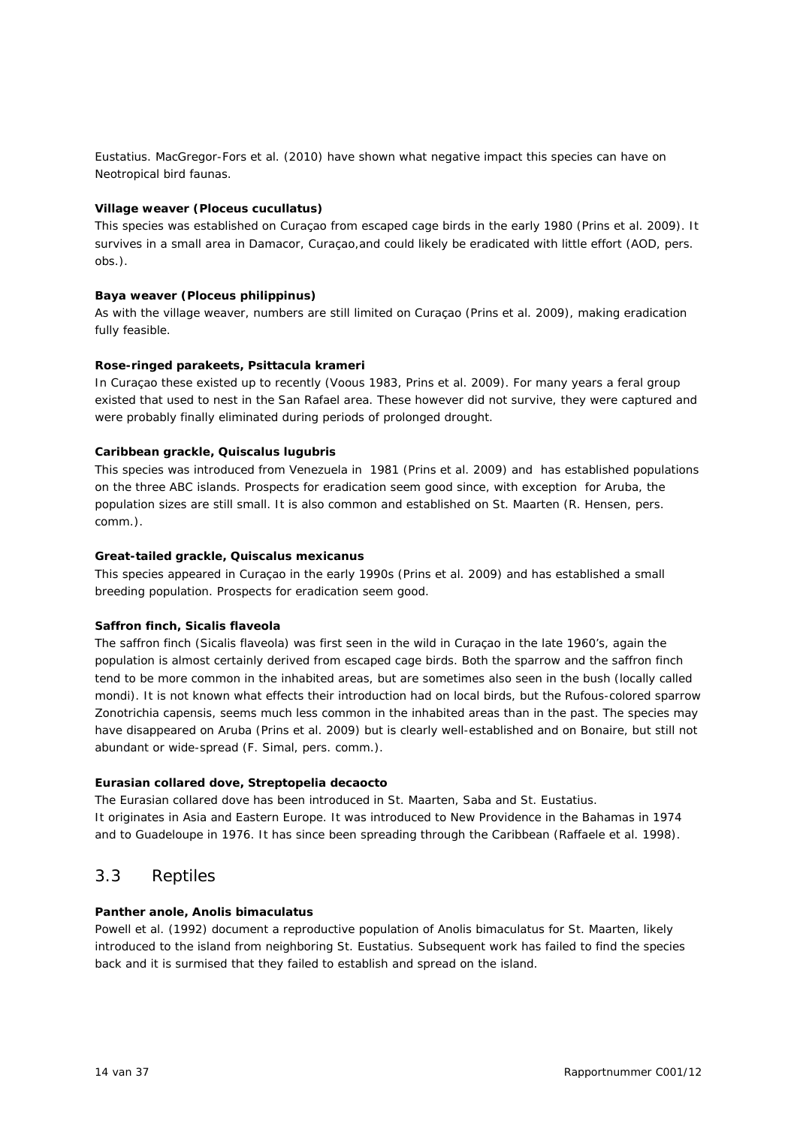Eustatius. MacGregor-Fors *et al.* (2010) have shown what negative impact this species can have on Neotropical bird faunas.

#### **Village weaver (***Ploceus cucullatus***)**

This species was established on Curaçao from escaped cage birds in the early 1980 (Prins *et al.* 2009). It survives in a small area in Damacor, Curaçao,and could likely be eradicated with little effort (AOD, pers. obs.).

#### **Baya weaver (***Ploceus philippinus***)**

As with the village weaver, numbers are still limited on Curaçao (Prins *et al.* 2009), making eradication fully feasible.

#### **Rose-ringed parakeets,** *Psittacula krameri*

In Curaçao these existed up to recently (Voous 1983, Prins *et al.* 2009). For many years a feral group existed that used to nest in the San Rafael area. These however did not survive, they were captured and were probably finally eliminated during periods of prolonged drought.

#### **Caribbean grackle,** *Quiscalus lugubris*

This species was introduced from Venezuela in 1981 (Prins *et al.* 2009) and has established populations on the three ABC islands. Prospects for eradication seem good since, with exception for Aruba, the population sizes are still small. It is also common and established on St. Maarten (R. Hensen, pers. comm.).

#### **Great-tailed grackle,** *Quiscalus mexicanus*

This species appeared in Curaçao in the early 1990s (Prins *et al.* 2009) and has established a small breeding population. Prospects for eradication seem good.

#### **Saffron finch,** *Sicalis flaveola*

The saffron finch (*Sicalis flaveola*) was first seen in the wild in Curaçao in the late 1960's, again the population is almost certainly derived from escaped cage birds. Both the sparrow and the saffron finch tend to be more common in the inhabited areas, but are sometimes also seen in the bush (locally called mondi). It is not known what effects their introduction had on local birds, but the Rufous-colored sparrow *Zonotrichia capensis*, seems much less common in the inhabited areas than in the past. The species may have disappeared on Aruba (Prins *et al.* 2009) but is clearly well-established and on Bonaire, but still not abundant or wide-spread (F. Simal, pers. comm.).

#### **Eurasian collared dove,** *Streptopelia decaocto*

The Eurasian collared dove has been introduced in St. Maarten, Saba and St. Eustatius. It originates in Asia and Eastern Europe. It was introduced to New Providence in the Bahamas in 1974 and to Guadeloupe in 1976. It has since been spreading through the Caribbean (Raffaele *et al*. 1998).

#### 3.3 Reptiles

#### **Panther anole,** *Anolis bimaculatus*

Powell *et al.* (1992) document a reproductive population of *Anolis bimaculatus* for St. Maarten, likely introduced to the island from neighboring St. Eustatius. Subsequent work has failed to find the species back and it is surmised that they failed to establish and spread on the island.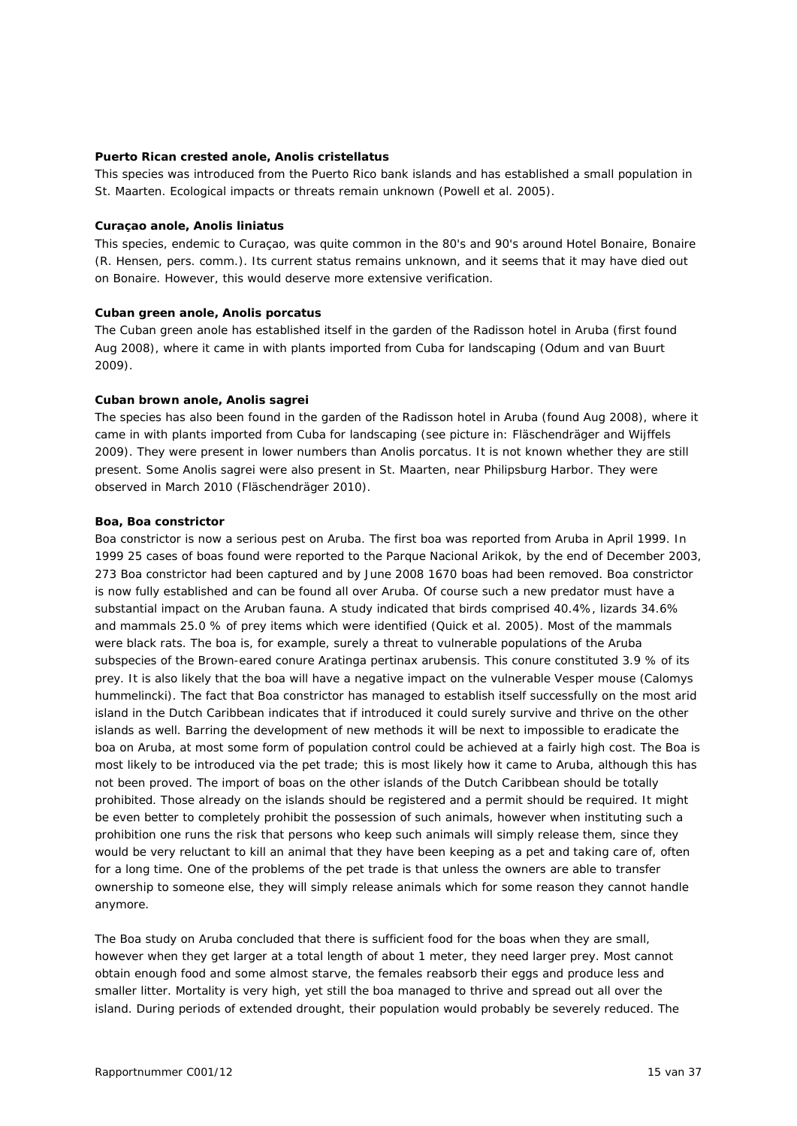#### **Puerto Rican crested anole,** *Anolis cristellatus*

This species was introduced from the Puerto Rico bank islands and has established a small population in St. Maarten. Ecological impacts or threats remain unknown (Powell *et al.* 2005).

#### **Curaçao anole,** *Anolis liniatus*

This species, endemic to Curaçao, was quite common in the 80's and 90's around Hotel Bonaire, Bonaire (R. Hensen, pers. comm.). Its current status remains unknown, and it seems that it may have died out on Bonaire. However, this would deserve more extensive verification.

#### **Cuban green anole,** *Anolis porcatus*

The Cuban green anole has established itself in the garden of the Radisson hotel in Aruba (first found Aug 2008), where it came in with plants imported from Cuba for landscaping (Odum and van Buurt 2009).

#### **Cuban brown anole,** *Anolis sagrei*

The species has also been found in the garden of the Radisson hotel in Aruba (found Aug 2008), where it came in with plants imported from Cuba for landscaping (see picture in: Fläschendräger and Wijffels 2009). They were present in lower numbers than *Anolis porcatus*. It is not known whether they are still present. Some *Anolis sagrei* were also present in St. Maarten, near Philipsburg Harbor. They were observed in March 2010 (Fläschendräger 2010).

#### **Boa,** *Boa constrictor*

Boa constrictor is now a serious pest on Aruba. The first boa was reported from Aruba in April 1999. In 1999 25 cases of boas found were reported to the Parque Nacional Arikok, by the end of December 2003, 273 *Boa constrictor* had been captured and by June 2008 1670 boas had been removed. *Boa constrictor* is now fully established and can be found all over Aruba. Of course such a new predator must have a substantial impact on the Aruban fauna. A study indicated that birds comprised 40.4%, lizards 34.6% and mammals 25.0 % of prey items which were identified (Quick *et al*. 2005). Most of the mammals were black rats. The boa is, for example, surely a threat to vulnerable populations of the Aruba subspecies of the Brown-eared conure *Aratinga pertinax arubensis.* This conure constituted 3.9 % of its prey. It is also likely that the boa will have a negative impact on the vulnerable Vesper mouse (*Calomys hummelincki*). The fact that *Boa constrictor* has managed to establish itself successfully on the most arid island in the Dutch Caribbean indicates that if introduced it could surely survive and thrive on the other islands as well. Barring the development of new methods it will be next to impossible to eradicate the boa on Aruba, at most some form of population control could be achieved at a fairly high cost. The Boa is most likely to be introduced via the pet trade; this is most likely how it came to Aruba, although this has not been proved. The import of boas on the other islands of the Dutch Caribbean should be totally prohibited. Those already on the islands should be registered and a permit should be required. It might be even better to completely prohibit the possession of such animals, however when instituting such a prohibition one runs the risk that persons who keep such animals will simply release them, since they would be very reluctant to kill an animal that they have been keeping as a pet and taking care of, often for a long time. One of the problems of the pet trade is that unless the owners are able to transfer ownership to someone else, they will simply release animals which for some reason they cannot handle anymore.

The Boa study on Aruba concluded that there is sufficient food for the boas when they are small, however when they get larger at a total length of about 1 meter, they need larger prey. Most cannot obtain enough food and some almost starve, the females reabsorb their eggs and produce less and smaller litter. Mortality is very high, yet still the boa managed to thrive and spread out all over the island. During periods of extended drought, their population would probably be severely reduced. The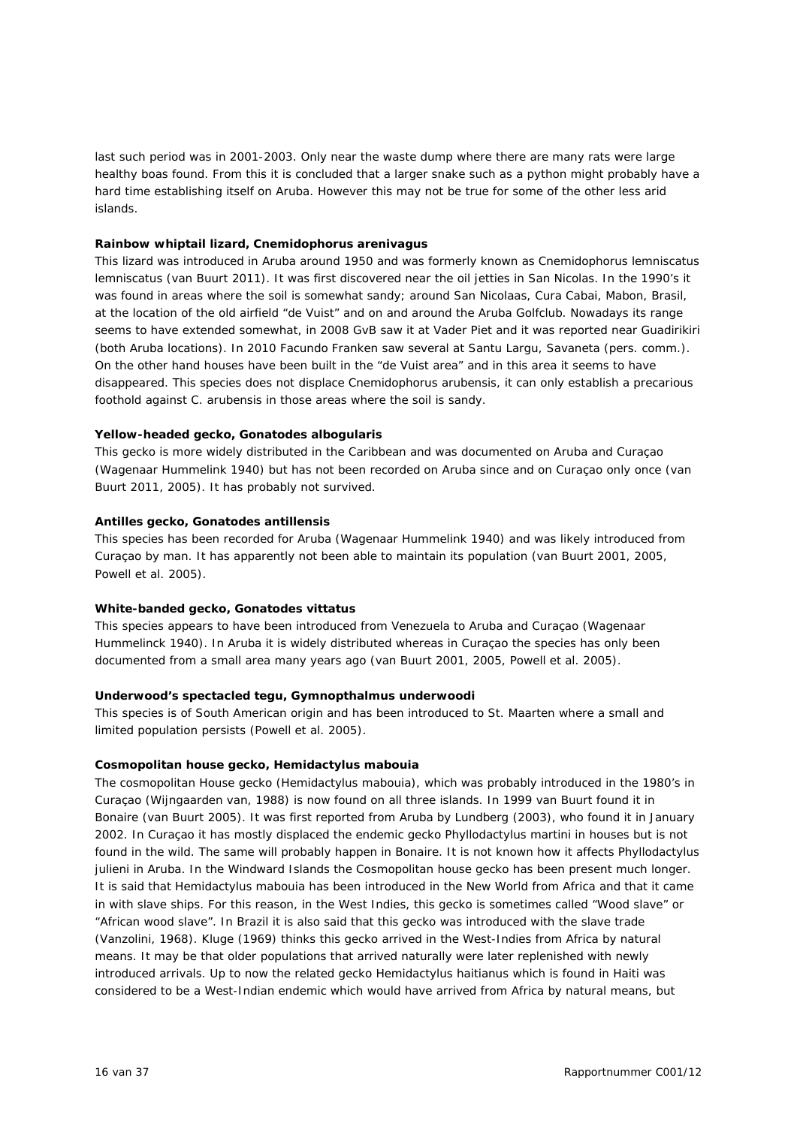last such period was in 2001-2003. Only near the waste dump where there are many rats were large healthy boas found. From this it is concluded that a larger snake such as a python might probably have a hard time establishing itself on Aruba. However this may not be true for some of the other less arid islands.

#### **Rainbow whiptail lizard,** *Cnemidophorus arenivagus*

This lizard was introduced in Aruba around 1950 and was formerly known as *Cnemidophorus lemniscatus lemniscatus* (van Buurt 2011). It was first discovered near the oil jetties in San Nicolas. In the 1990's it was found in areas where the soil is somewhat sandy; around San Nicolaas, Cura Cabai, Mabon, Brasil, at the location of the old airfield "de Vuist" and on and around the Aruba Golfclub. Nowadays its range seems to have extended somewhat, in 2008 GvB saw it at Vader Piet and it was reported near Guadirikiri (both Aruba locations). In 2010 Facundo Franken saw several at Santu Largu, Savaneta (pers. comm.). On the other hand houses have been built in the "de Vuist area" and in this area it seems to have disappeared. This species does not displace *Cnemidophorus arubensis*, it can only establish a precarious foothold against *C. arubensis* in those areas where the soil is sandy.

#### **Yellow-headed gecko,** *Gonatodes albogularis*

This gecko is more widely distributed in the Caribbean and was documented on Aruba and Curaçao (Wagenaar Hummelink 1940) but has not been recorded on Aruba since and on Curaçao only once (van Buurt 2011, 2005). It has probably not survived.

#### **Antilles gecko,** *Gonatodes antillensis*

This species has been recorded for Aruba (Wagenaar Hummelink 1940) and was likely introduced from Curaçao by man. It has apparently not been able to maintain its population (van Buurt 2001, 2005, Powell *et al.* 2005).

#### **White-banded gecko,** *Gonatodes vittatus*

This species appears to have been introduced from Venezuela to Aruba and Curaçao (Wagenaar Hummelinck 1940). In Aruba it is widely distributed whereas in Curaçao the species has only been documented from a small area many years ago (van Buurt 2001, 2005, Powell *et al.* 2005).

#### **Underwood's spectacled tegu,** *Gymnopthalmus underwoodi*

This species is of South American origin and has been introduced to St. Maarten where a small and limited population persists (Powell *et al.* 2005).

#### **Cosmopolitan house gecko,** *Hemidactylus mabouia*

The cosmopolitan House gecko (*Hemidactylus mabouia*), which was probably introduced in the 1980's in Curaçao (Wijngaarden van, 1988) is now found on all three islands. In 1999 van Buurt found it in Bonaire (van Buurt 2005). It was first reported from Aruba by Lundberg (2003), who found it in January 2002. In Curaçao it has mostly displaced the endemic gecko *Phyllodactylus martini* in houses but is not found in the wild. The same will probably happen in Bonaire. It is not known how it affects *Phyllodactylus julieni* in Aruba. In the Windward Islands the Cosmopolitan house gecko has been present much longer. It is said that *Hemidactylus mabouia* has been introduced in the New World from Africa and that it came in with slave ships. For this reason, in the West Indies, this gecko is sometimes called "Wood slave" or "African wood slave". In Brazil it is also said that this gecko was introduced with the slave trade (Vanzolini, 1968). Kluge (1969) thinks this gecko arrived in the West-Indies from Africa by natural means. It may be that older populations that arrived naturally were later replenished with newly introduced arrivals. Up to now the related gecko *Hemidactylus haitianus* which is found in Haiti was considered to be a West-Indian endemic which would have arrived from Africa by natural means, but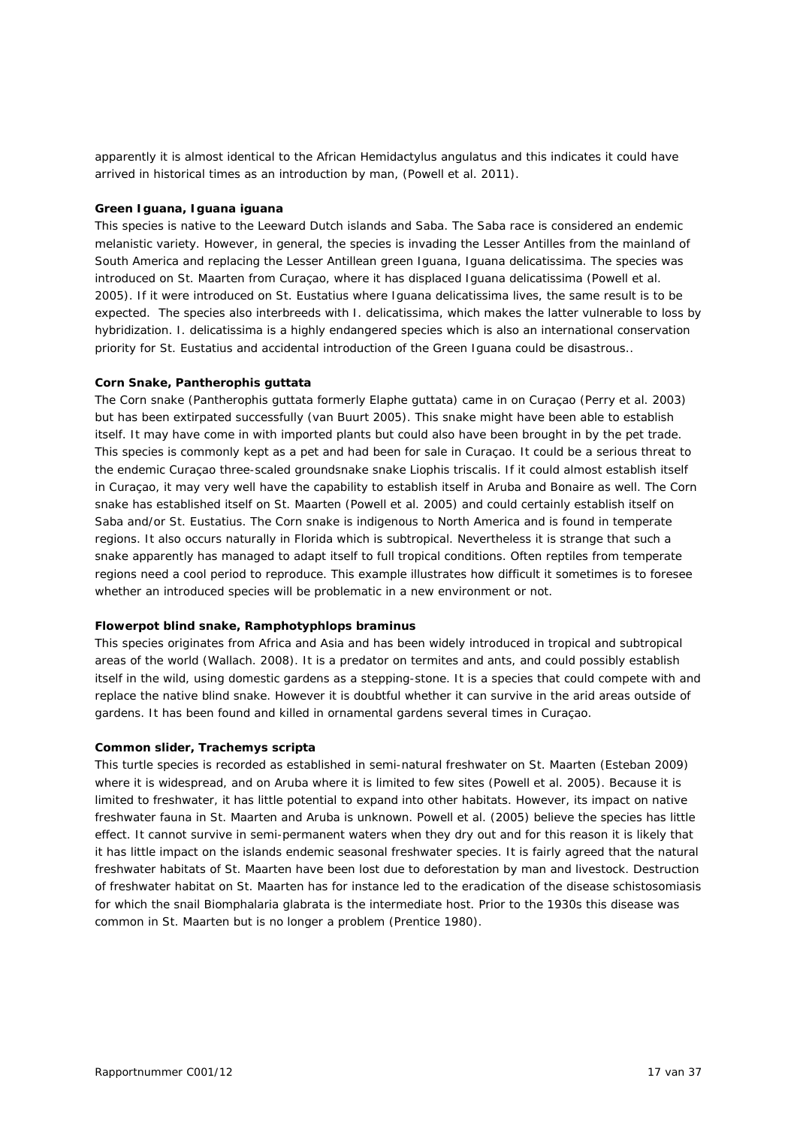apparently it is almost identical to the African *Hemidactylus angulatus* and this indicates it could have arrived in historical times as an introduction by man, (Powell *et al*. 2011).

#### **Green Iguana,** *Iguana iguana*

This species is native to the Leeward Dutch islands and Saba. The Saba race is considered an endemic melanistic variety. However, in general, the species is invading the Lesser Antilles from the mainland of South America and replacing the Lesser Antillean green Iguana, *Iguana delicatissima*. The species was introduced on St. Maarten from Curaçao, where it has displaced *Iguana delicatissima* (Powell *et al.* 2005). If it were introduced on St. Eustatius where *Iguana delicatissima* lives, the same result is to be expected. The species also interbreeds with *I. delicatissima*, which makes the latter vulnerable to loss by hybridization*. I. delicatissima* is a highly endangered species which is also an international conservation priority for St. Eustatius and accidental introduction of the Green Iguana could be disastrous..

#### **Corn Snake,** *Pantherophis guttata*

The Corn snake (*Pantherophis guttata* formerly *Elaphe guttata*) came in on Curaçao (Perry *et al*. 2003) but has been extirpated successfully (van Buurt 2005). This snake might have been able to establish itself. It may have come in with imported plants but could also have been brought in by the pet trade. This species is commonly kept as a pet and had been for sale in Curaçao. It could be a serious threat to the endemic Curaçao three-scaled groundsnake snake *Liophis triscalis*. If it could almost establish itself in Curaçao, it may very well have the capability to establish itself in Aruba and Bonaire as well. The Corn snake has established itself on St. Maarten (Powell *et al.* 2005) and could certainly establish itself on Saba and/or St. Eustatius. The Corn snake is indigenous to North America and is found in temperate regions. It also occurs naturally in Florida which is subtropical. Nevertheless it is strange that such a snake apparently has managed to adapt itself to full tropical conditions. Often reptiles from temperate regions need a cool period to reproduce. This example illustrates how difficult it sometimes is to foresee whether an introduced species will be problematic in a new environment or not.

#### **Flowerpot blind snake,** *Ramphotyphlops braminus*

This species originates from Africa and Asia and has been widely introduced in tropical and subtropical areas of the world (Wallach. 2008). It is a predator on termites and ants, and could possibly establish itself in the wild, using domestic gardens as a stepping-stone. It is a species that could compete with and replace the native blind snake. However it is doubtful whether it can survive in the arid areas outside of gardens. It has been found and killed in ornamental gardens several times in Curaçao.

#### **Common slider,** *Trachemys scripta*

This turtle species is recorded as established in semi-natural freshwater on St. Maarten (Esteban 2009) where it is widespread, and on Aruba where it is limited to few sites (Powell *et al.* 2005). Because it is limited to freshwater, it has little potential to expand into other habitats. However, its impact on native freshwater fauna in St. Maarten and Aruba is unknown. Powell *et al.* (2005) believe the species has little effect. It cannot survive in semi-permanent waters when they dry out and for this reason it is likely that it has little impact on the islands endemic seasonal freshwater species. It is fairly agreed that the natural freshwater habitats of St. Maarten have been lost due to deforestation by man and livestock. Destruction of freshwater habitat on St. Maarten has for instance led to the eradication of the disease schistosomiasis for which the snail *Biomphalaria glabrata* is the intermediate host. Prior to the 1930s this disease was common in St. Maarten but is no longer a problem (Prentice 1980).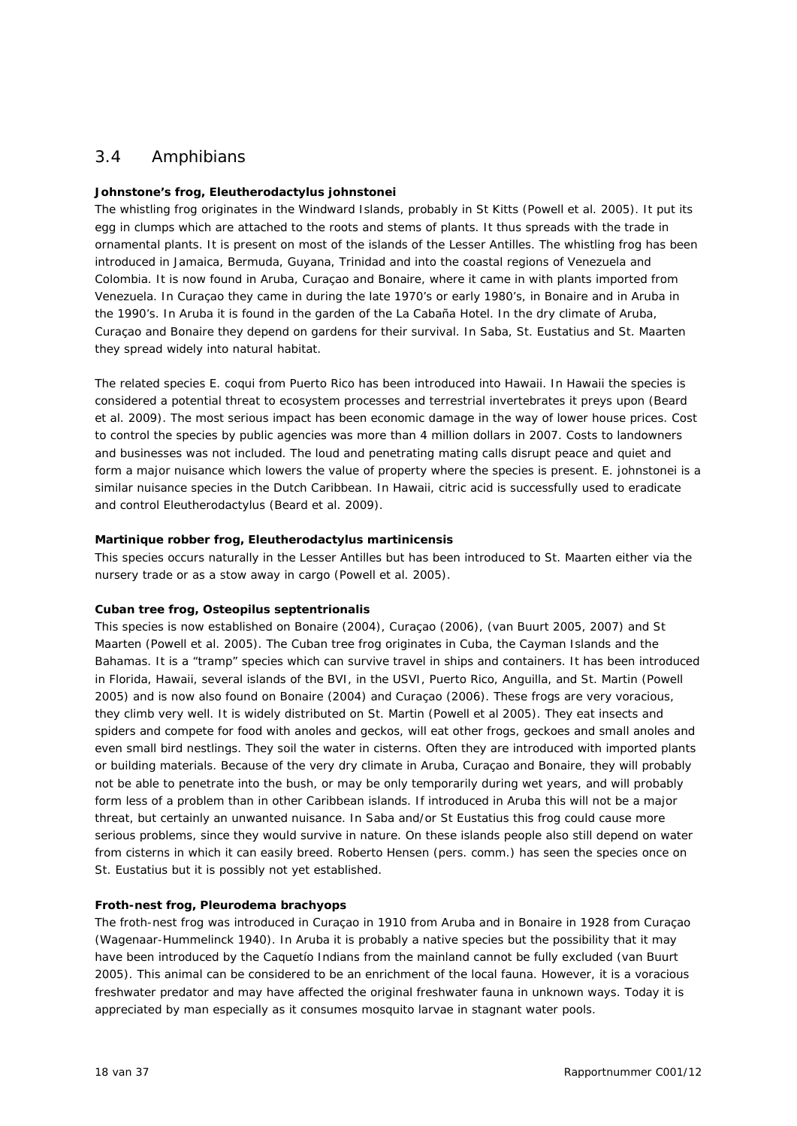# 3.4 Amphibians

#### **Johnstone's frog,** *Eleutherodactylus johnstonei*

The whistling frog originates in the Windward Islands, probably in St Kitts (Powell *et al.* 2005). It put its egg in clumps which are attached to the roots and stems of plants. It thus spreads with the trade in ornamental plants. It is present on most of the islands of the Lesser Antilles. The whistling frog has been introduced in Jamaica, Bermuda, Guyana, Trinidad and into the coastal regions of Venezuela and Colombia. It is now found in Aruba, Curaçao and Bonaire, where it came in with plants imported from Venezuela. In Curaçao they came in during the late 1970's or early 1980's, in Bonaire and in Aruba in the 1990's. In Aruba it is found in the garden of the La Cabaña Hotel. In the dry climate of Aruba, Curaçao and Bonaire they depend on gardens for their survival. In Saba, St. Eustatius and St. Maarten they spread widely into natural habitat.

The related species *E. coqui* from Puerto Rico has been introduced into Hawaii. In Hawaii the species is considered a potential threat to ecosystem processes and terrestrial invertebrates it preys upon (Beard *et al.* 2009). The most serious impact has been economic damage in the way of lower house prices. Cost to control the species by public agencies was more than 4 million dollars in 2007. Costs to landowners and businesses was not included. The loud and penetrating mating calls disrupt peace and quiet and form a major nuisance which lowers the value of property where the species is present. *E. johnstonei* is a similar nuisance species in the Dutch Caribbean. In Hawaii, citric acid is successfully used to eradicate and control *Eleutherodactylus* (Beard *et al.* 2009).

#### **Martinique robber frog,** *Eleutherodactylus martinicensis*

This species occurs naturally in the Lesser Antilles but has been introduced to St. Maarten either via the nursery trade or as a stow away in cargo (Powell *et al.* 2005).

#### **Cuban tree frog,** *Osteopilus septentrionalis*

This species is now established on Bonaire (2004), Curaçao (2006), (van Buurt 2005, 2007) and St Maarten (Powell *et al.* 2005). The Cuban tree frog originates in Cuba, the Cayman Islands and the Bahamas. It is a "tramp" species which can survive travel in ships and containers. It has been introduced in Florida, Hawaii, several islands of the BVI, in the USVI, Puerto Rico, Anguilla, and St. Martin (Powell 2005) and is now also found on Bonaire (2004) and Curaçao (2006). These frogs are very voracious, they climb very well. It is widely distributed on St. Martin (Powell et al 2005). They eat insects and spiders and compete for food with anoles and geckos, will eat other frogs, geckoes and small anoles and even small bird nestlings. They soil the water in cisterns. Often they are introduced with imported plants or building materials. Because of the very dry climate in Aruba, Curaçao and Bonaire, they will probably not be able to penetrate into the bush, or may be only temporarily during wet years, and will probably form less of a problem than in other Caribbean islands. If introduced in Aruba this will not be a major threat, but certainly an unwanted nuisance. In Saba and/or St Eustatius this frog could cause more serious problems, since they would survive in nature. On these islands people also still depend on water from cisterns in which it can easily breed. Roberto Hensen (pers. comm.) has seen the species once on St. Eustatius but it is possibly not yet established.

#### **Froth-nest frog,** *Pleurodema brachyops*

The froth-nest frog was introduced in Curaçao in 1910 from Aruba and in Bonaire in 1928 from Curaçao (Wagenaar-Hummelinck 1940). In Aruba it is probably a native species but the possibility that it may have been introduced by the Caquetío Indians from the mainland cannot be fully excluded (van Buurt 2005). This animal can be considered to be an enrichment of the local fauna. However, it is a voracious freshwater predator and may have affected the original freshwater fauna in unknown ways. Today it is appreciated by man especially as it consumes mosquito larvae in stagnant water pools.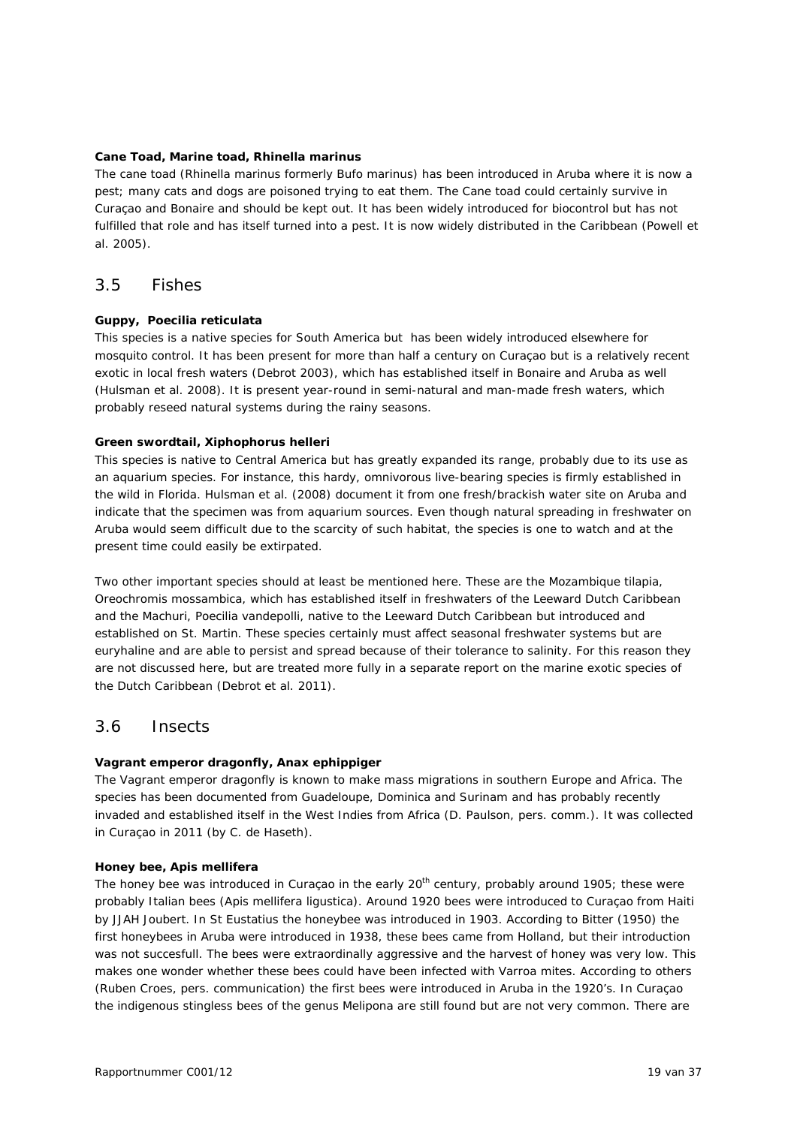#### **Cane Toad, Marine toad,** *Rhinella marinus*

The cane toad (*Rhinella marinus* formerly *Bufo marinus*) has been introduced in Aruba where it is now a pest; many cats and dogs are poisoned trying to eat them. The Cane toad could certainly survive in Curaçao and Bonaire and should be kept out. It has been widely introduced for biocontrol but has not fulfilled that role and has itself turned into a pest. It is now widely distributed in the Caribbean (Powell *et al.* 2005).

#### 3.5 Fishes

#### **Guppy,** *Poecilia reticulata*

This species is a native species for South America but has been widely introduced elsewhere for mosquito control. It has been present for more than half a century on Curaçao but is a relatively recent exotic in local fresh waters (Debrot 2003), which has established itself in Bonaire and Aruba as well (Hulsman *et al.* 2008). It is present year-round in semi-natural and man-made fresh waters, which probably reseed natural systems during the rainy seasons.

#### **Green swordtail,** *Xiphophorus helleri*

This species is native to Central America but has greatly expanded its range, probably due to its use as an aquarium species. For instance, this hardy, omnivorous live-bearing species is firmly established in the wild in Florida. Hulsman *et al.* (2008) document it from one fresh/brackish water site on Aruba and indicate that the specimen was from aquarium sources. Even though natural spreading in freshwater on Aruba would seem difficult due to the scarcity of such habitat, the species is one to watch and at the present time could easily be extirpated.

Two other important species should at least be mentioned here. These are the Mozambique tilapia, *Oreochromis mossambica*, which has established itself in freshwaters of the Leeward Dutch Caribbean and the Machuri, *Poecilia vandepolli*, native to the Leeward Dutch Caribbean but introduced and established on St. Martin. These species certainly must affect seasonal freshwater systems but are euryhaline and are able to persist and spread because of their tolerance to salinity. For this reason they are not discussed here, but are treated more fully in a separate report on the marine exotic species of the Dutch Caribbean (Debrot *et al.* 2011).

### 3.6 Insects

#### **Vagrant emperor dragonfly,** *Anax ephippiger*

The Vagrant emperor dragonfly is known to make mass migrations in southern Europe and Africa. The species has been documented from Guadeloupe, Dominica and Surinam and has probably recently invaded and established itself in the West Indies from Africa (D. Paulson, pers. comm.). It was collected in Curaçao in 2011 (by C. de Haseth).

#### **Honey bee,** *Apis mellifera*

The honey bee was introduced in Curaçao in the early  $20<sup>th</sup>$  century, probably around 1905; these were probably Italian bees (*Apis mellifera ligustica*). Around 1920 bees were introduced to Curaçao from Haiti by JJAH Joubert. In St Eustatius the honeybee was introduced in 1903. According to Bitter (1950) the first honeybees in Aruba were introduced in 1938, these bees came from Holland, but their introduction was not succesfull. The bees were extraordinally aggressive and the harvest of honey was very low. This makes one wonder whether these bees could have been infected with *Varroa* mites. According to others (Ruben Croes, pers. communication) the first bees were introduced in Aruba in the 1920's. In Curaçao the indigenous stingless bees of the genus *Melipona* are still found but are not very common. There are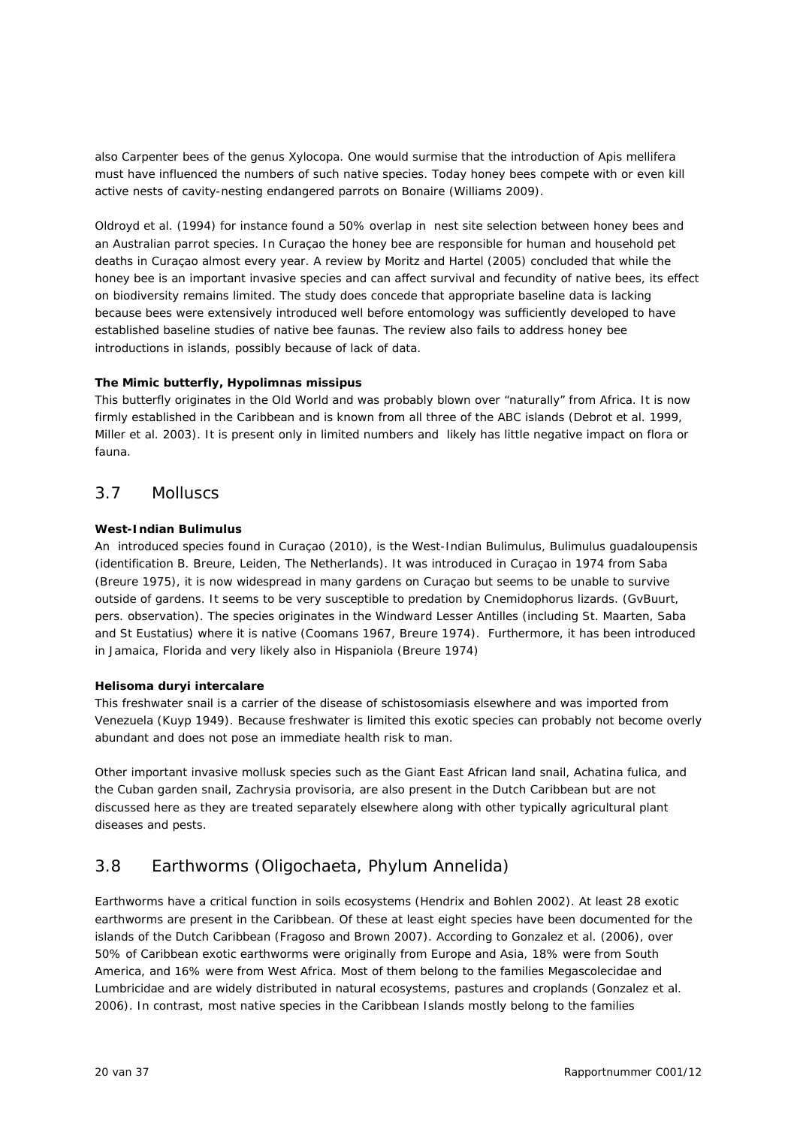also Carpenter bees of the genus *Xylocopa*. One would surmise that the introduction of *Apis mellifera* must have influenced the numbers of such native species. Today honey bees compete with or even kill active nests of cavity-nesting endangered parrots on Bonaire (Williams 2009).

Oldroyd *et al*. (1994) for instance found a 50% overlap in nest site selection between honey bees and an Australian parrot species. In Curaçao the honey bee are responsible for human and household pet deaths in Curaçao almost every year. A review by Moritz and Hartel (2005) concluded that while the honey bee is an important invasive species and can affect survival and fecundity of native bees, its effect on biodiversity remains limited. The study does concede that appropriate baseline data is lacking because bees were extensively introduced well before entomology was sufficiently developed to have established baseline studies of native bee faunas. The review also fails to address honey bee introductions in islands, possibly because of lack of data.

#### **The Mimic butterfly***, Hypolimnas missipus*

This butterfly originates in the Old World and was probably blown over "naturally" from Africa. It is now firmly established in the Caribbean and is known from all three of the ABC islands (Debrot *et al.* 1999, Miller *et al.* 2003). It is present only in limited numbers and likely has little negative impact on flora or fauna.

### 3.7 Molluscs

#### **West-Indian** *Bulimulus*

An introduced species found in Curaçao (2010), is the West-Indian Bulimulus, *Bulimulus guadaloupensis* (identification B. Breure, Leiden, The Netherlands). It was introduced in Curaçao in 1974 from Saba (Breure 1975), it is now widespread in many gardens on Curaçao but seems to be unable to survive outside of gardens. It seems to be very susceptible to predation by *Cnemidophorus* lizards. (GvBuurt, pers. observation). The species originates in the Windward Lesser Antilles (including St. Maarten, Saba and St Eustatius) where it is native (Coomans 1967, Breure 1974). Furthermore, it has been introduced in Jamaica, Florida and very likely also in Hispaniola (Breure 1974)

#### *Helisoma duryi intercalare*

This freshwater snail is a carrier of the disease of schistosomiasis elsewhere and was imported from Venezuela (Kuyp 1949). Because freshwater is limited this exotic species can probably not become overly abundant and does not pose an immediate health risk to man.

Other important invasive mollusk species such as the Giant East African land snail, *Achatina fulica,* and the Cuban garden snail, *Zachrysia provisoria*, are also present in the Dutch Caribbean but are not discussed here as they are treated separately elsewhere along with other typically agricultural plant diseases and pests.

# 3.8 Earthworms (Oligochaeta, Phylum Annelida)

Earthworms have a critical function in soils ecosystems (Hendrix and Bohlen 2002). At least 28 exotic earthworms are present in the Caribbean. Of these at least eight species have been documented for the islands of the Dutch Caribbean (Fragoso and Brown 2007). According to Gonzalez *et al.* (2006), over 50% of Caribbean exotic earthworms were originally from Europe and Asia, 18% were from South America, and 16% were from West Africa. Most of them belong to the families Megascolecidae and Lumbricidae and are widely distributed in natural ecosystems, pastures and croplands (Gonzalez *et al.* 2006). In contrast, most native species in the Caribbean Islands mostly belong to the families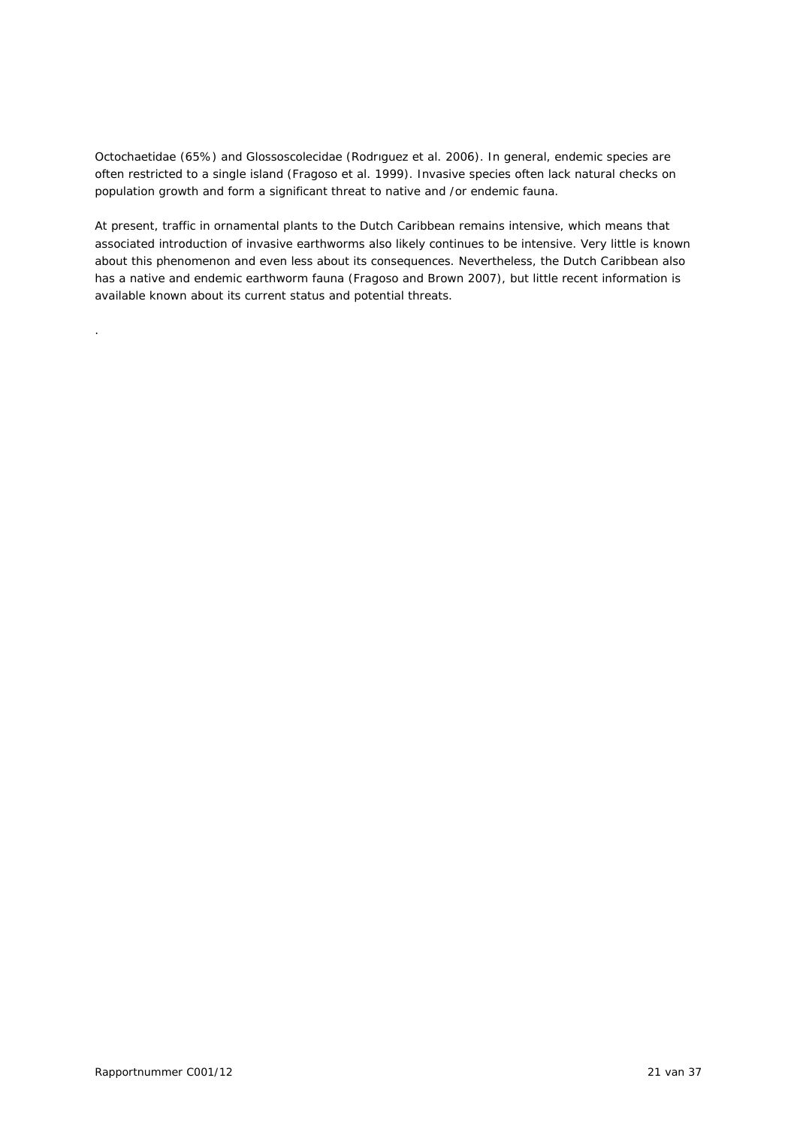Octochaetidae (65%) and Glossoscolecidae (Rodrıguez *et al.* 2006). In general, endemic species are often restricted to a single island (Fragoso et al. 1999). Invasive species often lack natural checks on population growth and form a significant threat to native and /or endemic fauna.

At present, traffic in ornamental plants to the Dutch Caribbean remains intensive, which means that associated introduction of invasive earthworms also likely continues to be intensive. Very little is known about this phenomenon and even less about its consequences. Nevertheless, the Dutch Caribbean also has a native and endemic earthworm fauna (Fragoso and Brown 2007), but little recent information is available known about its current status and potential threats.

.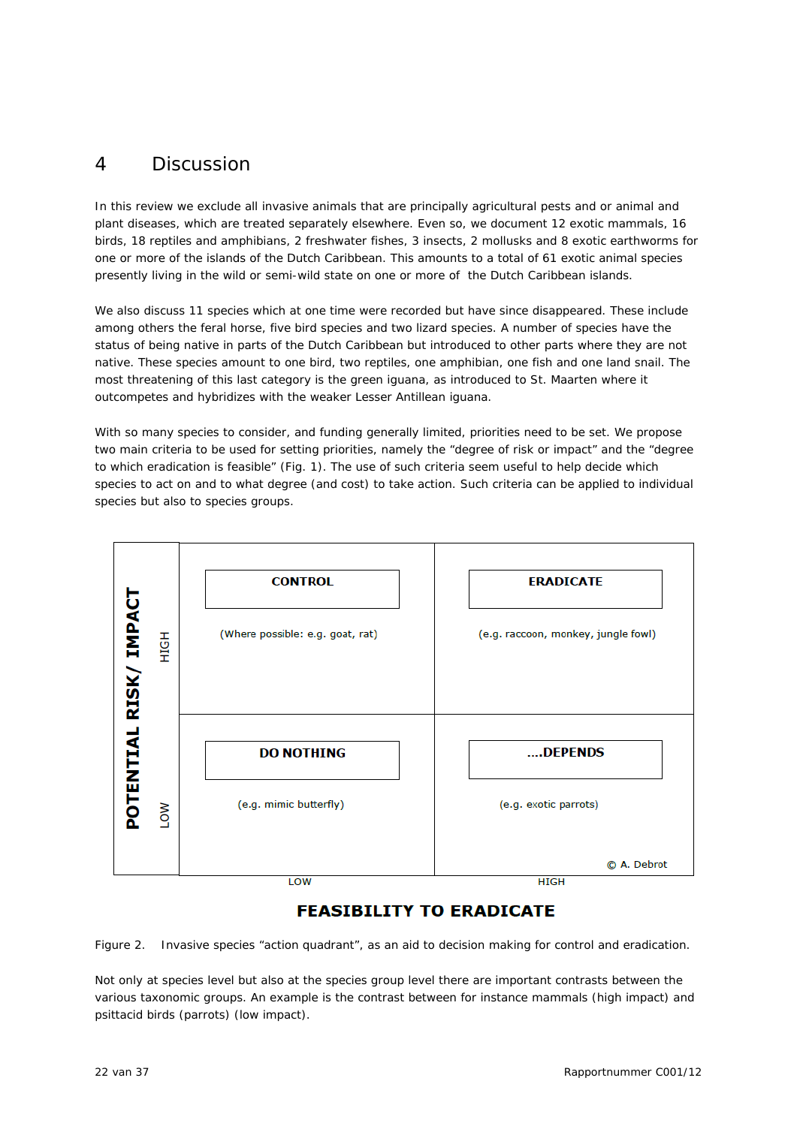# 4 Discussion

In this review we exclude all invasive animals that are principally agricultural pests and or animal and plant diseases, which are treated separately elsewhere. Even so, we document 12 exotic mammals, 16 birds, 18 reptiles and amphibians, 2 freshwater fishes, 3 insects, 2 mollusks and 8 exotic earthworms for one or more of the islands of the Dutch Caribbean. This amounts to a total of 61 exotic animal species presently living in the wild or semi-wild state on one or more of the Dutch Caribbean islands.

We also discuss 11 species which at one time were recorded but have since disappeared. These include among others the feral horse, five bird species and two lizard species. A number of species have the status of being native in parts of the Dutch Caribbean but introduced to other parts where they are not native. These species amount to one bird, two reptiles, one amphibian, one fish and one land snail. The most threatening of this last category is the green iguana, as introduced to St. Maarten where it outcompetes and hybridizes with the weaker Lesser Antillean iguana.

With so many species to consider, and funding generally limited, priorities need to be set. We propose two main criteria to be used for setting priorities, namely the "degree of risk or impact" and the "degree to which eradication is feasible" (Fig. 1). The use of such criteria seem useful to help decide which species to act on and to what degree (and cost) to take action. Such criteria can be applied to individual species but also to species groups.



# **FEASIBILITY TO ERADICATE**

*Figure 2. Invasive species "action quadrant", as an aid to decision making for control and eradication.* 

Not only at species level but also at the species group level there are important contrasts between the various taxonomic groups. An example is the contrast between for instance mammals (high impact) and psittacid birds (parrots) (low impact).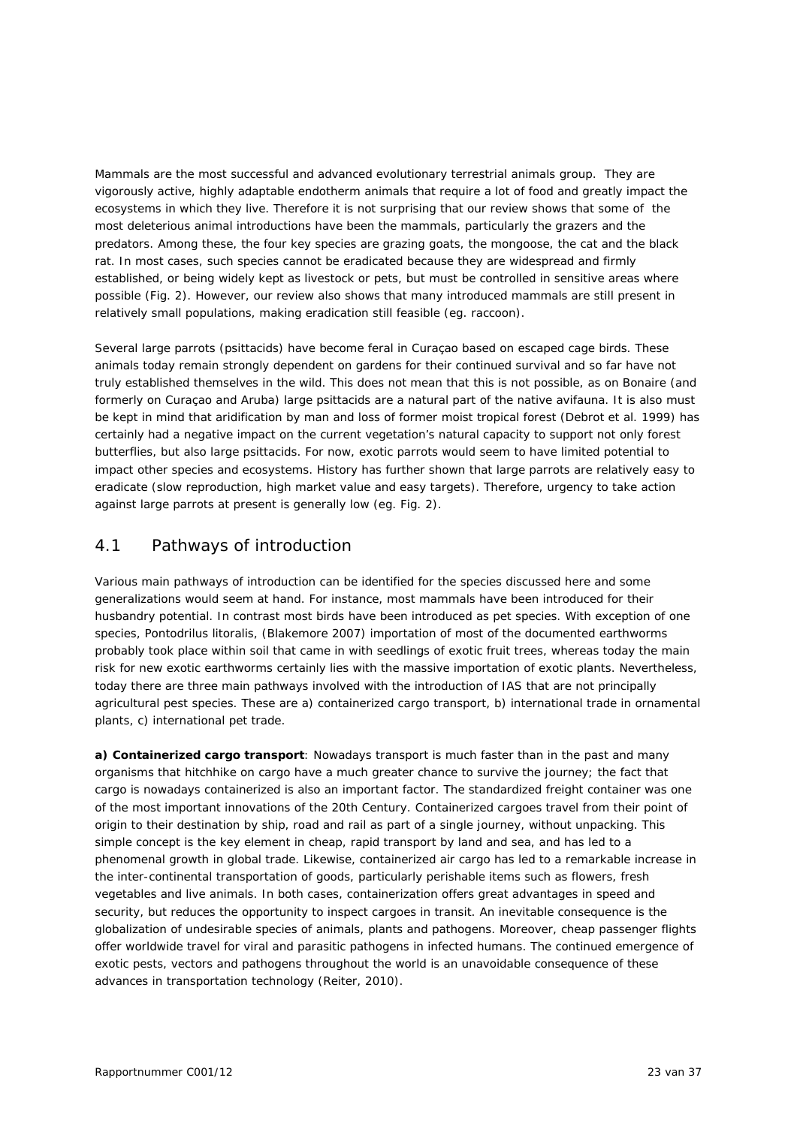Mammals are the most successful and advanced evolutionary terrestrial animals group. They are vigorously active, highly adaptable endotherm animals that require a lot of food and greatly impact the ecosystems in which they live. Therefore it is not surprising that our review shows that some of the most deleterious animal introductions have been the mammals, particularly the grazers and the predators. Among these, the four key species are grazing goats, the mongoose, the cat and the black rat. In most cases, such species cannot be eradicated because they are widespread and firmly established, or being widely kept as livestock or pets, but must be controlled in sensitive areas where possible (Fig. 2). However, our review also shows that many introduced mammals are still present in relatively small populations, making eradication still feasible (eg. raccoon).

Several large parrots (psittacids) have become feral in Curaçao based on escaped cage birds. These animals today remain strongly dependent on gardens for their continued survival and so far have not truly established themselves in the wild. This does not mean that this is not possible, as on Bonaire (and formerly on Curaçao and Aruba) large psittacids are a natural part of the native avifauna. It is also must be kept in mind that aridification by man and loss of former moist tropical forest (Debrot *et al.* 1999) has certainly had a negative impact on the current vegetation's natural capacity to support not only forest butterflies, but also large psittacids. For now, exotic parrots would seem to have limited potential to impact other species and ecosystems. History has further shown that large parrots are relatively easy to eradicate (slow reproduction, high market value and easy targets). Therefore, urgency to take action against large parrots at present is generally low (eg. Fig. 2).

# 4.1 Pathways of introduction

Various main pathways of introduction can be identified for the species discussed here and some generalizations would seem at hand. For instance, most mammals have been introduced for their husbandry potential. In contrast most birds have been introduced as pet species. With exception of one species, *Pontodrilus litoralis*, (Blakemore 2007) importation of most of the documented earthworms probably took place within soil that came in with seedlings of exotic fruit trees, whereas today the main risk for new exotic earthworms certainly lies with the massive importation of exotic plants. Nevertheless, today there are three main pathways involved with the introduction of IAS that are not principally agricultural pest species. These are a) containerized cargo transport, b) international trade in ornamental plants, c) international pet trade.

**a) Containerized cargo transport**: Nowadays transport is much faster than in the past and many organisms that hitchhike on cargo have a much greater chance to survive the journey; the fact that cargo is nowadays containerized is also an important factor. The standardized freight container was one of the most important innovations of the 20th Century. Containerized cargoes travel from their point of origin to their destination by ship, road and rail as part of a single journey, without unpacking. This simple concept is the key element in cheap, rapid transport by land and sea, and has led to a phenomenal growth in global trade. Likewise, containerized air cargo has led to a remarkable increase in the inter-continental transportation of goods, particularly perishable items such as flowers, fresh vegetables and live animals. In both cases, containerization offers great advantages in speed and security, but reduces the opportunity to inspect cargoes in transit. An inevitable consequence is the globalization of undesirable species of animals, plants and pathogens. Moreover, cheap passenger flights offer worldwide travel for viral and parasitic pathogens in infected humans. The continued emergence of exotic pests, vectors and pathogens throughout the world is an unavoidable consequence of these advances in transportation technology (Reiter, 2010).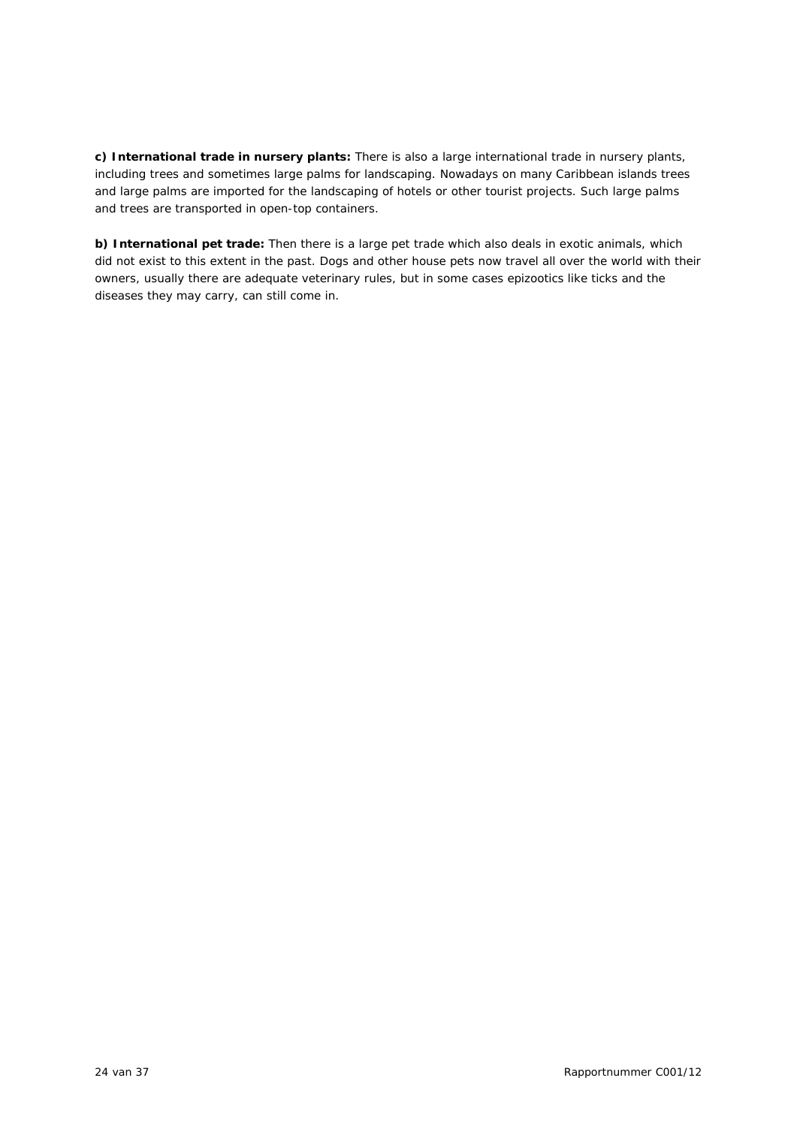**c) International trade in nursery plants:** There is also a large international trade in nursery plants, including trees and sometimes large palms for landscaping. Nowadays on many Caribbean islands trees and large palms are imported for the landscaping of hotels or other tourist projects. Such large palms and trees are transported in open-top containers.

**b) International pet trade:** Then there is a large pet trade which also deals in exotic animals, which did not exist to this extent in the past. Dogs and other house pets now travel all over the world with their owners, usually there are adequate veterinary rules, but in some cases epizootics like ticks and the diseases they may carry, can still come in.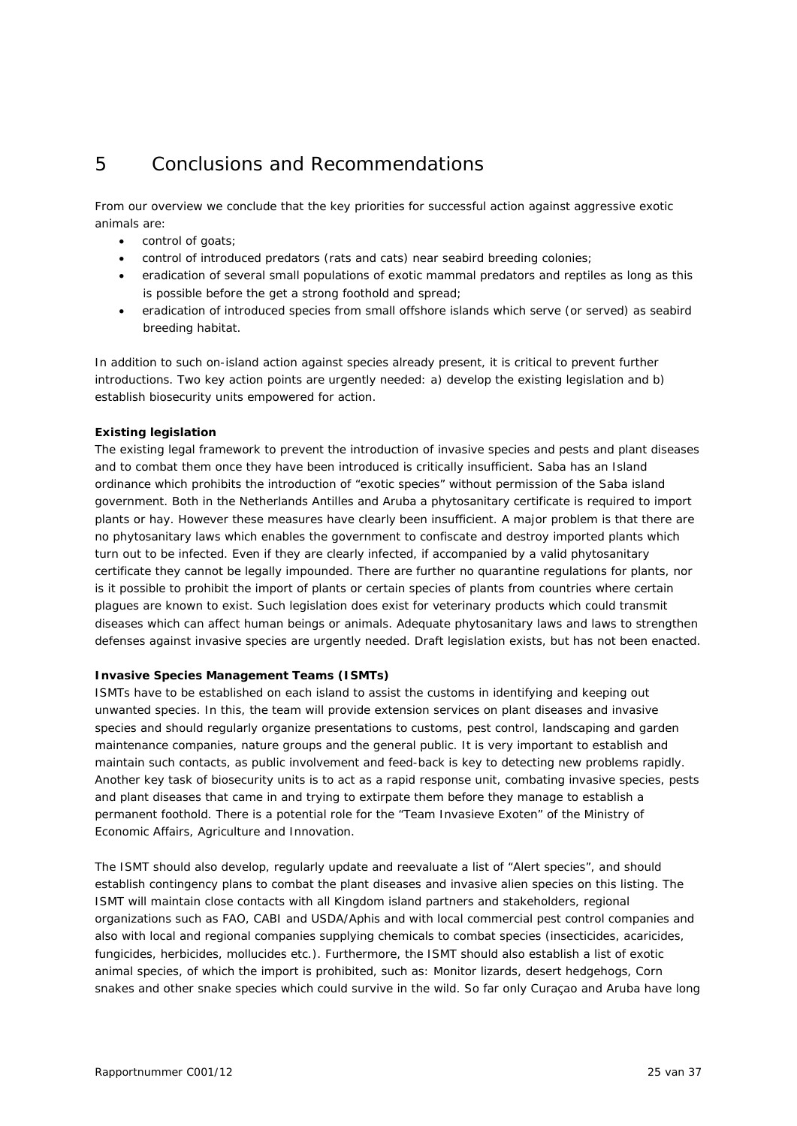# 5 Conclusions and Recommendations

From our overview we conclude that the key priorities for successful action against aggressive exotic animals are:

- control of goats:
- control of introduced predators (rats and cats) near seabird breeding colonies;
- eradication of several small populations of exotic mammal predators and reptiles as long as this is possible before the get a strong foothold and spread;
- eradication of introduced species from small offshore islands which serve (or served) as seabird breeding habitat.

In addition to such on-island action against species already present, it is critical to prevent further introductions. Two key action points are urgently needed: a) develop the existing legislation and b) establish biosecurity units empowered for action.

#### **Existing legislation**

The existing legal framework to prevent the introduction of invasive species and pests and plant diseases and to combat them once they have been introduced is critically insufficient. Saba has an Island ordinance which prohibits the introduction of "exotic species" without permission of the Saba island government. Both in the Netherlands Antilles and Aruba a phytosanitary certificate is required to import plants or hay. However these measures have clearly been insufficient. A major problem is that there are no phytosanitary laws which enables the government to confiscate and destroy imported plants which turn out to be infected. Even if they are clearly infected, if accompanied by a valid phytosanitary certificate they cannot be legally impounded. There are further no quarantine regulations for plants, nor is it possible to prohibit the import of plants or certain species of plants from countries where certain plagues are known to exist. Such legislation does exist for veterinary products which could transmit diseases which can affect human beings or animals. Adequate phytosanitary laws and laws to strengthen defenses against invasive species are urgently needed. Draft legislation exists, but has not been enacted.

#### **Invasive Species Management Teams (ISMTs)**

ISMTs have to be established on each island to assist the customs in identifying and keeping out unwanted species. In this, the team will provide extension services on plant diseases and invasive species and should regularly organize presentations to customs, pest control, landscaping and garden maintenance companies, nature groups and the general public. It is very important to establish and maintain such contacts, as public involvement and feed-back is key to detecting new problems rapidly. Another key task of biosecurity units is to act as a rapid response unit, combating invasive species, pests and plant diseases that came in and trying to extirpate them before they manage to establish a permanent foothold. There is a potential role for the "Team Invasieve Exoten" of the Ministry of Economic Affairs, Agriculture and Innovation.

The ISMT should also develop, regularly update and reevaluate a list of "Alert species", and should establish contingency plans to combat the plant diseases and invasive alien species on this listing. The ISMT will maintain close contacts with all Kingdom island partners and stakeholders, regional organizations such as FAO, CABI and USDA/Aphis and with local commercial pest control companies and also with local and regional companies supplying chemicals to combat species (insecticides, acaricides, fungicides, herbicides, mollucides etc.). Furthermore, the ISMT should also establish a list of exotic animal species, of which the import is prohibited, such as: Monitor lizards, desert hedgehogs, Corn snakes and other snake species which could survive in the wild. So far only Curaçao and Aruba have long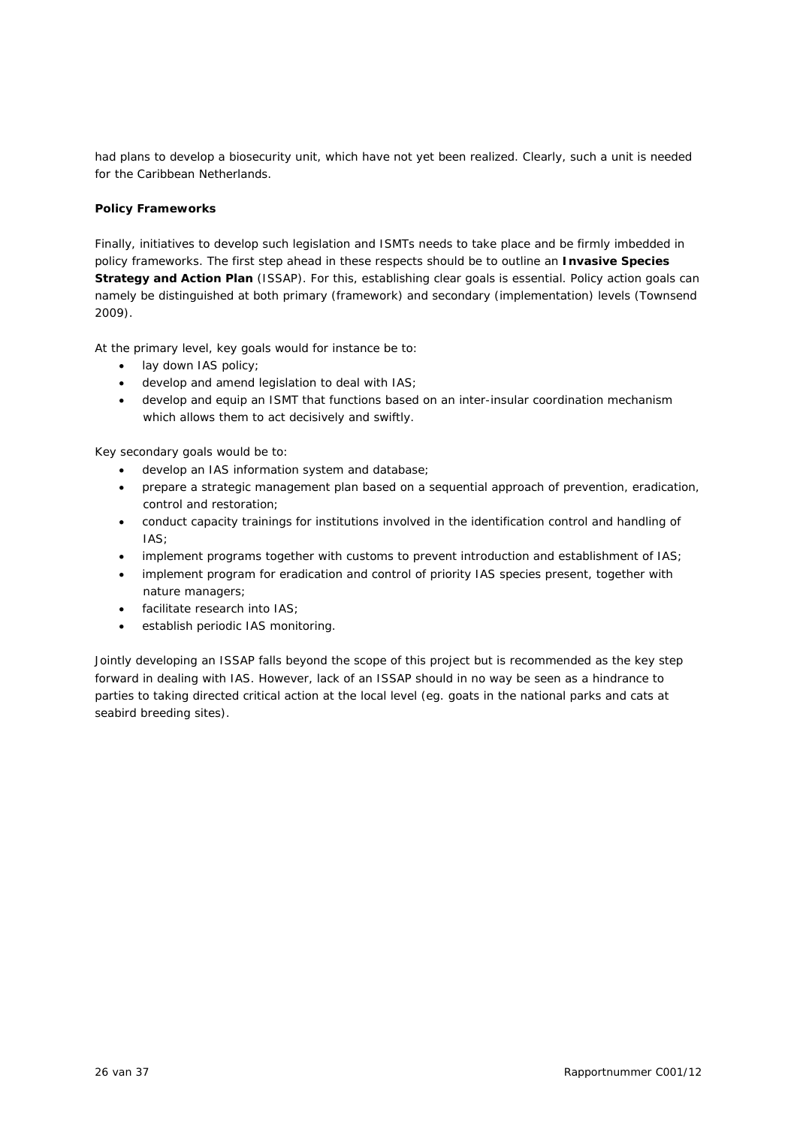had plans to develop a biosecurity unit, which have not yet been realized. Clearly, such a unit is needed for the Caribbean Netherlands.

#### **Policy Frameworks**

Finally, initiatives to develop such legislation and ISMTs needs to take place and be firmly imbedded in policy frameworks. The first step ahead in these respects should be to outline an **Invasive Species Strategy and Action Plan** (ISSAP). For this, establishing clear goals is essential. Policy action goals can namely be distinguished at both primary (framework) and secondary (implementation) levels (Townsend 2009).

At the primary level, key goals would for instance be to:

- lay down IAS policy;
- develop and amend legislation to deal with IAS;
- develop and equip an ISMT that functions based on an inter-insular coordination mechanism which allows them to act decisively and swiftly.

Key secondary goals would be to:

- develop an IAS information system and database;
- prepare a strategic management plan based on a sequential approach of prevention, eradication, control and restoration;
- conduct capacity trainings for institutions involved in the identification control and handling of  $IAS$
- implement programs together with customs to prevent introduction and establishment of IAS;
- implement program for eradication and control of priority IAS species present, together with nature managers;
- facilitate research into IAS;
- establish periodic IAS monitoring.

Jointly developing an ISSAP falls beyond the scope of this project but is recommended as the key step forward in dealing with IAS. However, lack of an ISSAP should in no way be seen as a hindrance to parties to taking directed critical action at the local level (eg. goats in the national parks and cats at seabird breeding sites).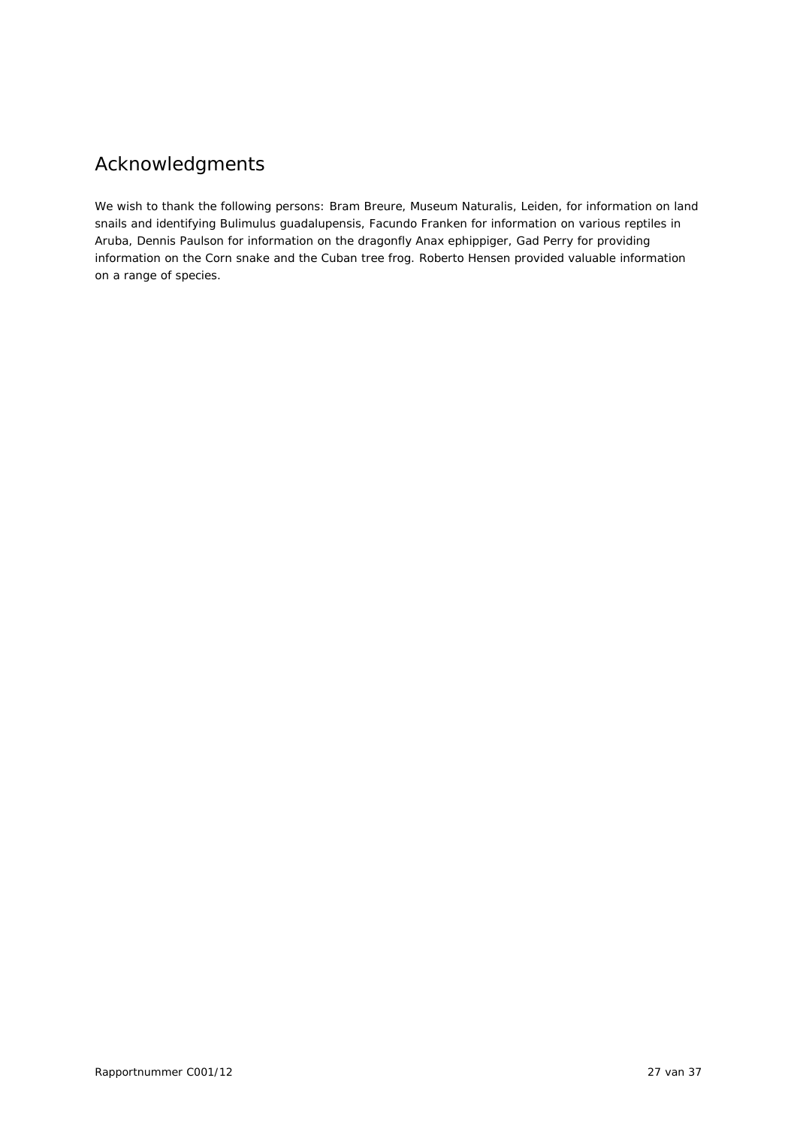# Acknowledgments

We wish to thank the following persons: Bram Breure, Museum Naturalis, Leiden, for information on land snails and identifying *Bulimulus guadalupensis*, Facundo Franken for information on various reptiles in Aruba, Dennis Paulson for information on the dragonfly *Anax ephippiger*, Gad Perry for providing information on the Corn snake and the Cuban tree frog. Roberto Hensen provided valuable information on a range of species.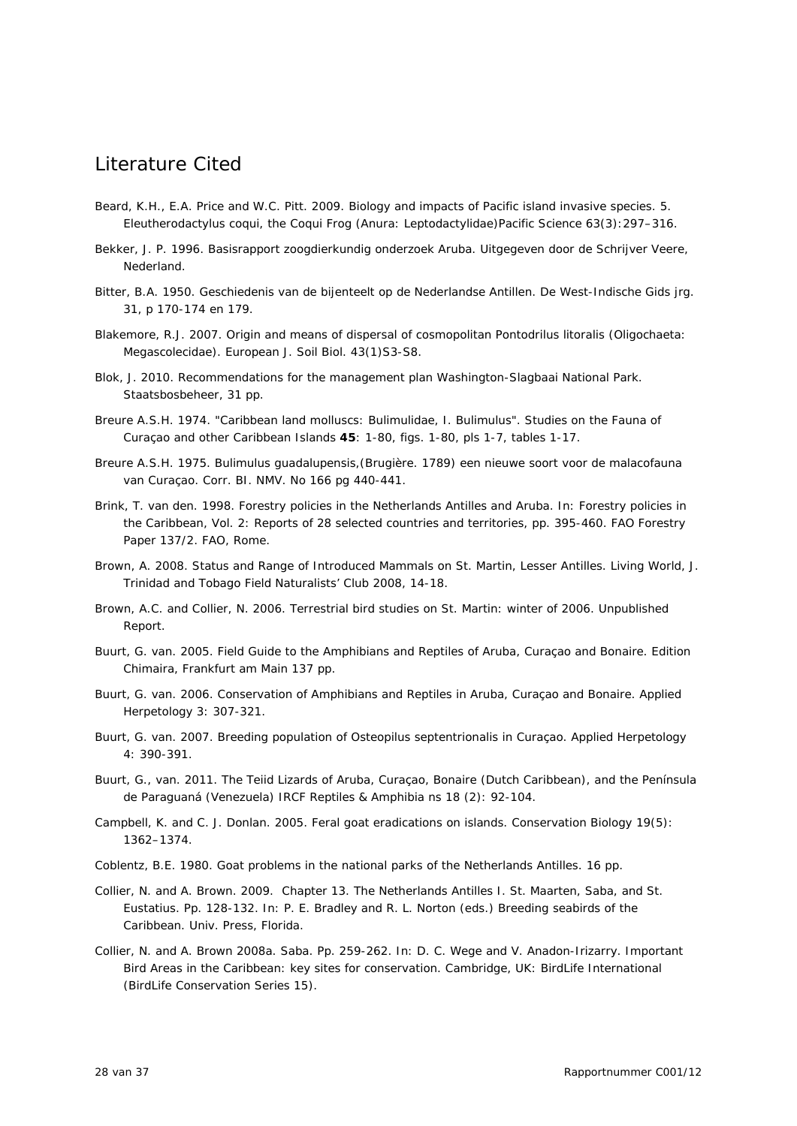# Literature Cited

- Beard, K.H., E.A. Price and W.C. Pitt. 2009. Biology and impacts of Pacific island invasive species. 5. *Eleutherodactylus coqui*, the Coqui Frog (Anura: Leptodactylidae)Pacific Science 63(3):297–316.
- Bekker, J. P. 1996. Basisrapport zoogdierkundig onderzoek Aruba. Uitgegeven door de Schrijver Veere, Nederland.
- Bitter, B.A. 1950. Geschiedenis van de bijenteelt op de Nederlandse Antillen. De West-Indische Gids jrg. 31, p 170-174 en 179.
- Blakemore, R.J. 2007. Origin and means of dispersal of cosmopolitan *Pontodrilus litoralis* (Oligochaeta: Megascolecidae). European J. Soil Biol. 43(1)S3-S8.
- Blok, J. 2010. Recommendations for the management plan Washington-Slagbaai National Park. Staatsbosbeheer, 31 pp.
- Breure A.S.H. 1974. "Caribbean land molluscs: Bulimulidae, I. *Bulimulus*". *Studies on the Fauna of Curaçao and other Caribbean Islands* **45**: 1-80, figs. 1-80, pls 1-7, tables 1-17.
- Breure A.S.H. 1975. *Bulimulus guadalupensis*,(Brugière. 1789) een nieuwe soort voor de malacofauna van Curaçao. Corr. BI. NMV. No 166 pg 440-441.
- Brink, T. van den. 1998. Forestry policies in the Netherlands Antilles and Aruba. In: Forestry policies in the Caribbean, Vol. 2: Reports of 28 selected countries and territories, pp. 395-460. FAO Forestry Paper 137/2. FAO, Rome.
- Brown, A. 2008. Status and Range of Introduced Mammals on St. Martin, Lesser Antilles. Living World, J. Trinidad and Tobago Field Naturalists' Club 2008, 14-18.
- Brown, A.C. and Collier, N. 2006. Terrestrial bird studies on St. Martin: winter of 2006. Unpublished Report.
- Buurt, G. van. 2005. *Field Guide to the Amphibians and Reptiles of Aruba, Curaçao and Bonaire*. Edition Chimaira, Frankfurt am Main 137 pp.
- Buurt, G. van. 2006. Conservation of Amphibians and Reptiles in Aruba, Curaçao and Bonaire. *Applied Herpetology* 3: 307-321.
- Buurt, G. van. 2007. Breeding population of *Osteopilus septentrionalis* in Curaçao. *Applied Herpetology* 4: 390-391.
- Buurt, G., van. 2011. The Teiid Lizards of Aruba, Curaçao, Bonaire (Dutch Caribbean), and the Península de Paraguaná (Venezuela) IRCF Reptiles & Amphibia ns 18 (2): 92-104.
- Campbell, K. and C. J. Donlan. 2005. Feral goat eradications on islands. Conservation Biology 19(5): 1362–1374.
- Coblentz, B.E. 1980. Goat problems in the national parks of the Netherlands Antilles. 16 pp.
- Collier, N. and A. Brown. 2009. Chapter 13. The Netherlands Antilles I. St. Maarten, Saba, and St. Eustatius. Pp. 128-132. In: P. E. Bradley and R. L. Norton (eds.) Breeding seabirds of the Caribbean. Univ. Press, Florida.
- Collier, N. and A. Brown 2008a. Saba. Pp. 259-262. In: D. C. Wege and V. Anadon-Irizarry. Important Bird Areas in the Caribbean: key sites for conservation. Cambridge, UK: BirdLife International (BirdLife Conservation Series 15).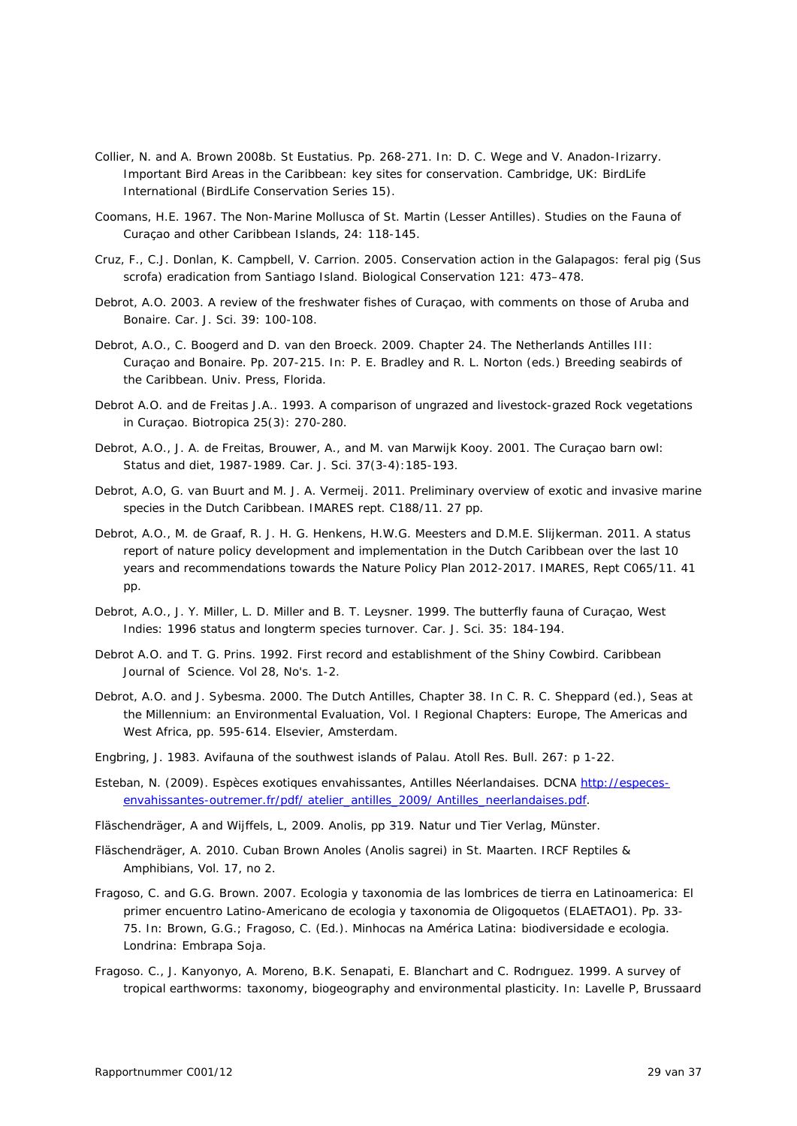- Collier, N. and A. Brown 2008b. St Eustatius. Pp. 268-271. In: D. C. Wege and V. Anadon-Irizarry. Important Bird Areas in the Caribbean: key sites for conservation. Cambridge, UK: BirdLife International (BirdLife Conservation Series 15).
- Coomans, H.E. 1967. The Non-Marine Mollusca of St. Martin (Lesser Antilles). Studies on the Fauna of Curaçao and other Caribbean Islands, 24: 118-145.
- Cruz, F., C.J. Donlan, K. Campbell, V. Carrion. 2005. Conservation action in the Galapagos: feral pig (*Sus scrofa*) eradication from Santiago Island. Biological Conservation 121: 473–478.
- Debrot, A.O. 2003. A review of the freshwater fishes of Curaçao, with comments on those of Aruba and Bonaire. Car. J. Sci. 39: 100-108.
- Debrot, A.O., C. Boogerd and D. van den Broeck. 2009. Chapter 24. The Netherlands Antilles III: Curaçao and Bonaire. Pp. 207-215. In: P. E. Bradley and R. L. Norton (eds.) Breeding seabirds of the Caribbean. Univ. Press, Florida.
- Debrot A.O. and de Freitas J.A.. 1993. A comparison of ungrazed and livestock-grazed Rock vegetations in Curaçao. Biotropica 25(3): 270-280.
- Debrot, A.O., J. A. de Freitas, Brouwer, A., and M. van Marwijk Kooy. 2001. The Curaçao barn owl: Status and diet, 1987-1989. Car. J. Sci. 37(3-4):185-193.
- Debrot, A.O, G. van Buurt and M. J. A. Vermeij. 2011. Preliminary overview of exotic and invasive marine species in the Dutch Caribbean. IMARES rept. C188/11. 27 pp.
- Debrot, A.O., M. de Graaf, R. J. H. G. Henkens, H.W.G. Meesters and D.M.E. Slijkerman. 2011. A status report of nature policy development and implementation in the Dutch Caribbean over the last 10 years and recommendations towards the Nature Policy Plan 2012-2017. IMARES, Rept C065/11. 41 pp.
- Debrot, A.O., J. Y. Miller, L. D. Miller and B. T. Leysner. 1999. The butterfly fauna of Curaçao, West Indies: 1996 status and longterm species turnover. Car. J. Sci. 35: 184-194.
- Debrot A.O. and T. G. Prins. 1992. First record and establishment of the Shiny Cowbird. Caribbean Journal of Science. Vol 28, No's. 1-2.
- Debrot, A.O. and J. Sybesma. 2000. The Dutch Antilles, Chapter 38. In C. R. C. Sheppard (ed.), Seas at the Millennium: an Environmental Evaluation, Vol. I Regional Chapters: Europe, The Americas and West Africa, pp. 595-614. Elsevier, Amsterdam.
- Engbring, J. 1983. Avifauna of the southwest islands of Palau. Atoll Res. Bull. 267: p 1-22.
- Esteban, N. (2009). Espèces exotiques envahissantes, Antilles Néerlandaises. DCNA http://especesenvahissantes-outremer.fr/pdf/ atelier\_antilles\_2009/ Antilles\_neerlandaises.pdf.

Fläschendräger, A and Wijffels, L, 2009. *Anolis*, pp 319. Natur und Tier Verlag, Münster.

- Fläschendräger, A. 2010. Cuban Brown Anoles (*Anolis sagrei*) in St. Maarten. IRCF Reptiles & Amphibians, Vol. 17, no 2.
- Fragoso, C. and G.G. Brown. 2007. Ecologia y taxonomia de las lombrices de tierra en Latinoamerica: El primer encuentro Latino-Americano de ecologia y taxonomia de Oligoquetos (ELAETAO1). Pp. 33- 75. In: Brown, G.G.; Fragoso, C. (Ed.). Minhocas na América Latina: biodiversidade e ecologia. Londrina: Embrapa Soja.
- Fragoso. C., J. Kanyonyo, A. Moreno, B.K. Senapati, E. Blanchart and C. Rodrıguez. 1999. A survey of tropical earthworms: taxonomy, biogeography and environmental plasticity. In: Lavelle P, Brussaard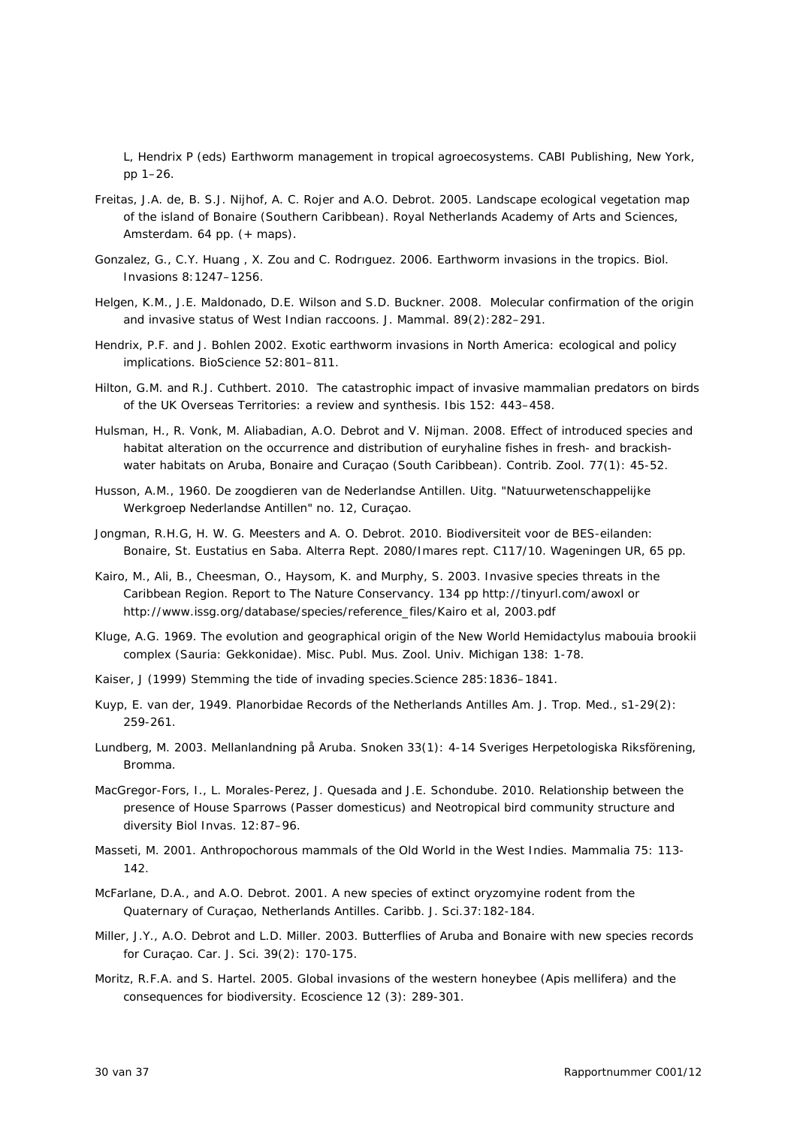L, Hendrix P (eds) Earthworm management in tropical agroecosystems. CABI Publishing, New York, pp 1–26.

- Freitas, J.A. de, B. S.J. Nijhof, A. C. Rojer and A.O. Debrot. 2005. Landscape ecological vegetation map of the island of Bonaire (Southern Caribbean). Royal Netherlands Academy of Arts and Sciences, Amsterdam. 64 pp. (+ maps).
- Gonzalez, G., C.Y. Huang , X. Zou and C. Rodrıguez. 2006. Earthworm invasions in the tropics. Biol. Invasions 8:1247–1256.
- Helgen, K.M., J.E. Maldonado, D.E. Wilson and S.D. Buckner. 2008. Molecular confirmation of the origin and invasive status of West Indian raccoons. J. Mammal. 89(2):282–291.
- Hendrix, P.F. and J. Bohlen 2002. Exotic earthworm invasions in North America: ecological and policy implications. BioScience 52:801–811.
- Hilton, G.M. and R.J. Cuthbert. 2010. The catastrophic impact of invasive mammalian predators on birds of the UK Overseas Territories: a review and synthesis. Ibis 152: 443–458.
- Hulsman, H., R. Vonk, M. Aliabadian, A.O. Debrot and V. Nijman. 2008. Effect of introduced species and habitat alteration on the occurrence and distribution of euryhaline fishes in fresh- and brackishwater habitats on Aruba, Bonaire and Curaçao (South Caribbean). Contrib. Zool. 77(1): 45-52.
- Husson, A.M., 1960. *De zoogdieren van de Nederlandse Antillen.* Uitg. "Natuurwetenschappelijke Werkgroep Nederlandse Antillen" no. 12, Curaçao.
- Jongman, R.H.G, H. W. G. Meesters and A. O. Debrot. 2010. Biodiversiteit voor de BES-eilanden: Bonaire, St. Eustatius en Saba. Alterra Rept. 2080/Imares rept. C117/10. Wageningen UR, 65 pp.
- Kairo, M., Ali, B., Cheesman, O., Haysom, K. and Murphy, S. 2003. Invasive species threats in the Caribbean Region. Report to The Nature Conservancy. 134 pp http://tinyurl.com/awoxl or http://www.issg.org/database/species/reference\_files/Kairo et al, 2003.pdf
- Kluge, A.G. 1969. The evolution and geographical origin of the New World *Hemidactylus mabouia brookii* complex (Sauria: Gekkonidae). *Misc. Publ. Mus. Zool. Univ. Michigan* 138: 1-78.
- Kaiser, J (1999) Stemming the tide of invading species.Science 285:1836–1841.
- Kuyp, E. van der, 1949. Planorbidae Records of the Netherlands Antilles Am. J. Trop. Med., s1-29(2): 259-261.
- Lundberg, M. 2003. Mellanlandning på Aruba. Snoken 33(1): 4-14 *Sveriges Herpetologiska Riksförening*, Bromma.
- MacGregor-Fors, I., L. Morales-Perez, J. Quesada and J.E. Schondube. 2010. Relationship between the presence of House Sparrows (*Passer domesticus*) and Neotropical bird community structure and diversity Biol Invas. 12:87–96.
- Masseti, M. 2001. Anthropochorous mammals of the Old World in the West Indies. Mammalia 75: 113- 142.
- McFarlane, D.A., and A.O. Debrot. 2001. A new species of extinct oryzomyine rodent from the Quaternary of Curaçao, Netherlands Antilles. Caribb. J. Sci.37:182-184.
- Miller, J.Y., A.O. Debrot and L.D. Miller. 2003. Butterflies of Aruba and Bonaire with new species records for Curaçao. Car. J. Sci. 39(2): 170-175.
- Moritz, R.F.A. and S. Hartel. 2005. Global invasions of the western honeybee (*Apis mellifera*) and the consequences for biodiversity. Ecoscience 12 (3): 289-301.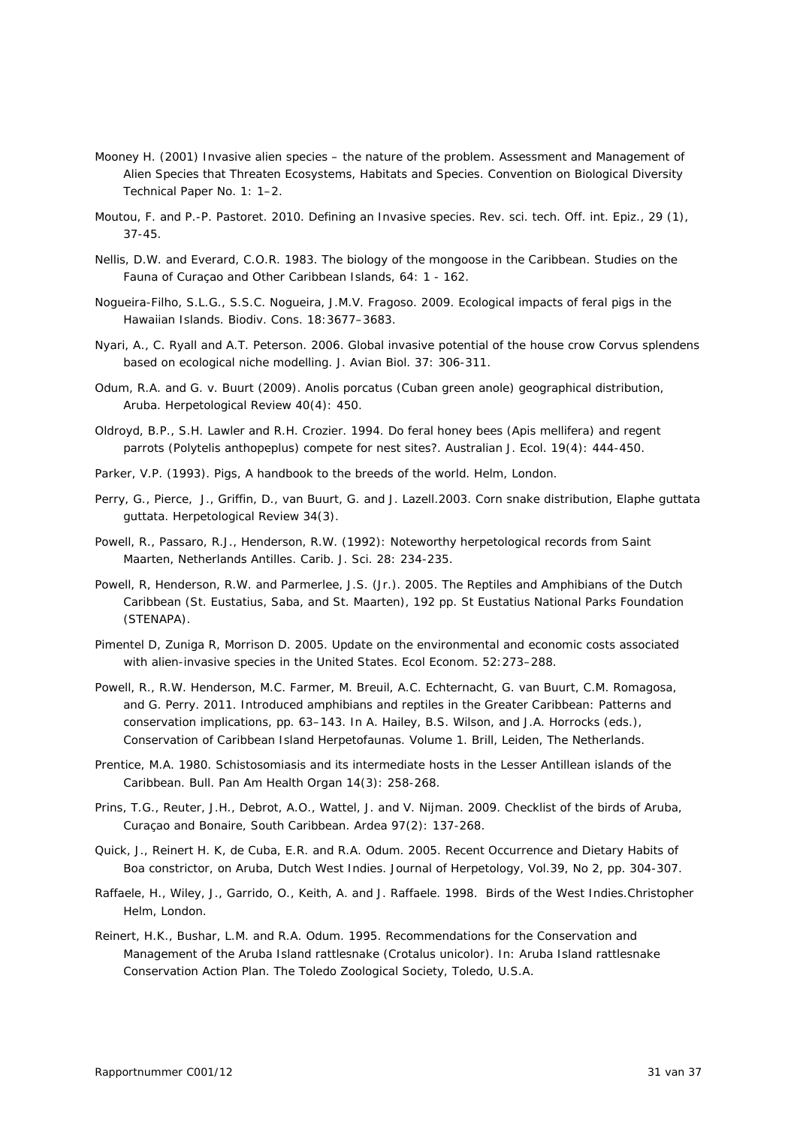- Mooney H. (2001) Invasive alien species the nature of the problem. Assessment and Management of Alien Species that Threaten Ecosystems, Habitats and Species. Convention on Biological Diversity Technical Paper No. 1: 1–2.
- Moutou, F. and P.-P. Pastoret. 2010. Defining an Invasive species. Rev. sci. tech. Off. int. Epiz., 29 (1), 37-45.
- Nellis, D.W. and Everard, C.O.R. 1983. The biology of the mongoose in the Caribbean. Studies on the Fauna of Curaçao and Other Caribbean Islands, 64: 1 - 162.
- Nogueira-Filho, S.L.G., S.S.C. Nogueira, J.M.V. Fragoso. 2009. Ecological impacts of feral pigs in the Hawaiian Islands. Biodiv. Cons. 18:3677–3683.
- Nyari, A., C. Ryall and A.T. Peterson. 2006. Global invasive potential of the house crow *Corvus splendens* based on ecological niche modelling. J. Avian Biol. 37: 306-311.
- Odum, R.A. and G. v. Buurt (2009). *Anolis porcatus* (Cuban green anole) geographical distribution, Aruba. Herpetological Review 40(4): 450.
- Oldroyd, B.P., S.H. Lawler and R.H. Crozier. 1994. Do feral honey bees (*Apis mellifera*) and regent parrots (Polytelis anthopeplus) compete for nest sites?. Australian J. Ecol. 19(4): 444-450.
- Parker, V.P. (1993). *Pigs, A handbook to the breeds of the world*. Helm, London.
- Perry, G., Pierce, J., Griffin, D., van Buurt, G. and J. Lazell.2003. Corn snake distribution, *Elaphe guttata guttata*. *Herpetological Review* 34(3).
- Powell, R., Passaro, R.J., Henderson, R.W. (1992): Noteworthy herpetological records from Saint Maarten, Netherlands Antilles. Carib. J. Sci. 28: 234-235.
- Powell, R, Henderson, R.W. and Parmerlee, J.S. (Jr.). 2005. *The Reptiles and Amphibians of the Dutch Caribbean (St. Eustatius, Saba, and St. Maarten),* 192 pp. St Eustatius National Parks Foundation (STENAPA).
- Pimentel D, Zuniga R, Morrison D. 2005. Update on the environmental and economic costs associated with alien-invasive species in the United States. Ecol Econom. 52:273–288.
- Powell, R., R.W. Henderson, M.C. Farmer, M. Breuil, A.C. Echternacht, G. van Buurt, C.M. Romagosa, and G. Perry. 2011. Introduced amphibians and reptiles in the Greater Caribbean: Patterns and conservation implications, pp. 63–143. In A. Hailey, B.S. Wilson, and J.A. Horrocks (eds.), Conservation of Caribbean Island Herpetofaunas. Volume 1. Brill, Leiden, The Netherlands.
- Prentice, M.A. 1980. Schistosomiasis and its intermediate hosts in the Lesser Antillean islands of the Caribbean. Bull. Pan Am Health Organ 14(3): 258-268.
- Prins, T.G., Reuter, J.H., Debrot, A.O., Wattel, J. and V. Nijman. 2009. Checklist of the birds of Aruba, Curaçao and Bonaire, South Caribbean. Ardea 97(2): 137-268.
- Quick, J., Reinert H. K, de Cuba, E.R. and R.A. Odum. 2005. Recent Occurrence and Dietary Habits of *Boa constrictor*, on Aruba, Dutch West Indies. *Journal of Herpetology*, Vol.39, No 2, pp. 304-307.
- Raffaele, H., Wiley, J., Garrido, O., Keith, A. and J. Raffaele. 1998. *Birds of the West Indies*.Christopher Helm, London.
- Reinert, H.K., Bushar, L.M. and R.A. Odum. 1995. Recommendations for the Conservation and Management of the Aruba Island rattlesnake (*Crotalus unicolor*). In: Aruba Island rattlesnake Conservation Action Plan. The Toledo Zoological Society, Toledo, U.S.A.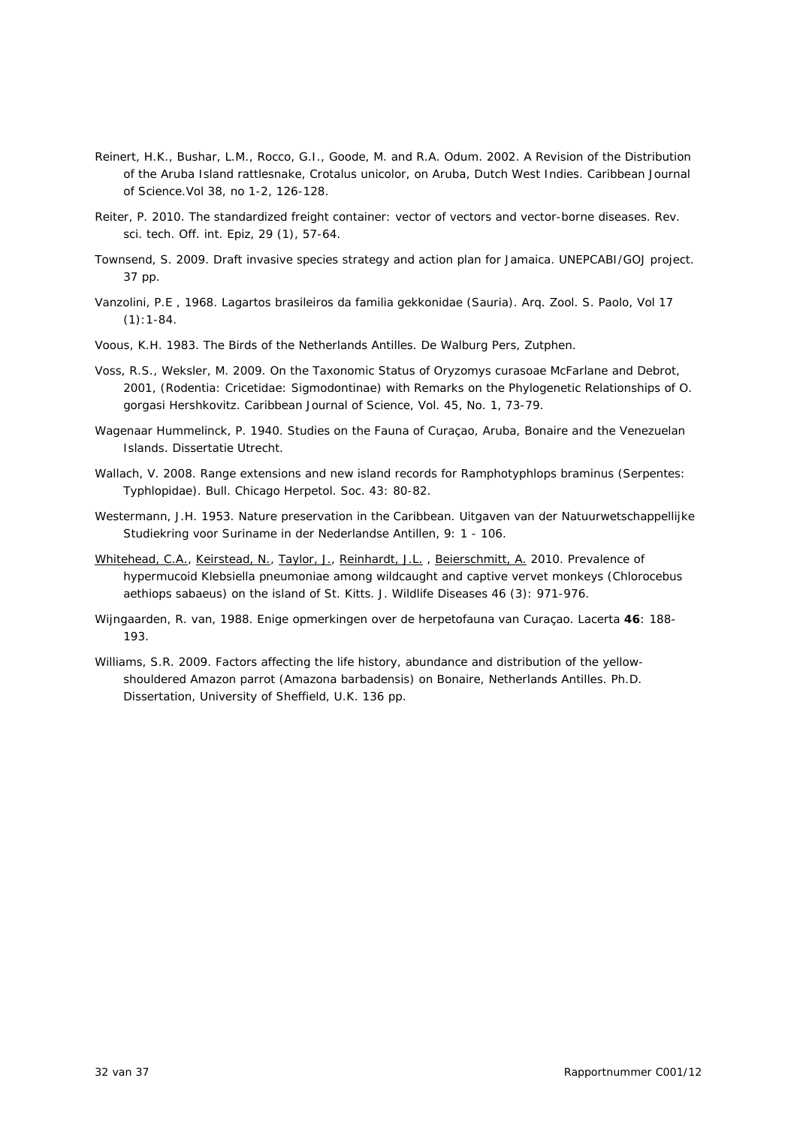- Reinert, H.K., Bushar, L.M., Rocco, G.I., Goode, M. and R.A. Odum. 2002. A Revision of the Distribution of the Aruba Island rattlesnake, *Crotalus unicolor*, on Aruba, Dutch West Indies. *Caribbean Journal of Science*.Vol 38, no 1-2, 126-128.
- Reiter, P. 2010. The standardized freight container: vector of vectors and vector-borne diseases. *Rev. sci. tech. Off. int. Epiz*, 29 (1), 57-64.
- Townsend, S. 2009. Draft invasive species strategy and action plan for Jamaica. UNEPCABI/GOJ project. 37 pp.
- Vanzolini, P.E , 1968. Lagartos brasileiros da familia gekkonidae (Sauria). Arq. Zool. S. Paolo, Vol 17  $(1): 1-84.$
- Voous, K.H. 1983. *The Birds of the Netherlands Antilles.* De Walburg Pers, Zutphen.
- Voss, R.S., Weksler, M. 2009. On the Taxonomic Status of *Oryzomys curasoae* McFarlane and Debrot, 2001, (Rodentia: Cricetidae: Sigmodontinae) with Remarks on the Phylogenetic Relationships of *O. gorgasi* Hershkovitz. *Caribbean Journal of Science*, Vol. 45, No. 1, 73-79.
- Wagenaar Hummelinck, P. 1940. *Studies on the Fauna of Curaçao, Aruba, Bonaire and the Venezuelan Islands.* Dissertatie Utrecht.
- Wallach, V. 2008. *Range extensions and new island records for Ramphotyphlops braminus (Serpentes: Typhlopidae)*. Bull. Chicago Herpetol. Soc. 43: 80-82.
- Westermann, J.H. 1953. Nature preservation in the Caribbean. Uitgaven van der Natuurwetschappellijke Studiekring voor Suriname in der Nederlandse Antillen, 9: 1 - 106.
- Whitehead, C.A., Keirstead, N., Taylor, J., Reinhardt, J.L., Beierschmitt, A. 2010. Prevalence of hypermucoid *Klebsiella pneumoniae* among wildcaught and captive vervet monkeys (*Chlorocebus aethiops sabaeus*) on the island of St. Kitts. J. Wildlife Diseases 46 (3): 971-976.
- Wijngaarden, R. van, 1988. Enige opmerkingen over de herpetofauna van Curaçao. Lacerta **46**: 188- 193.
- Williams, S.R. 2009. Factors affecting the life history, abundance and distribution of the yellowshouldered Amazon parrot (*Amazona barbadensis*) on Bonaire, Netherlands Antilles. Ph.D. Dissertation, University of Sheffield, U.K. 136 pp.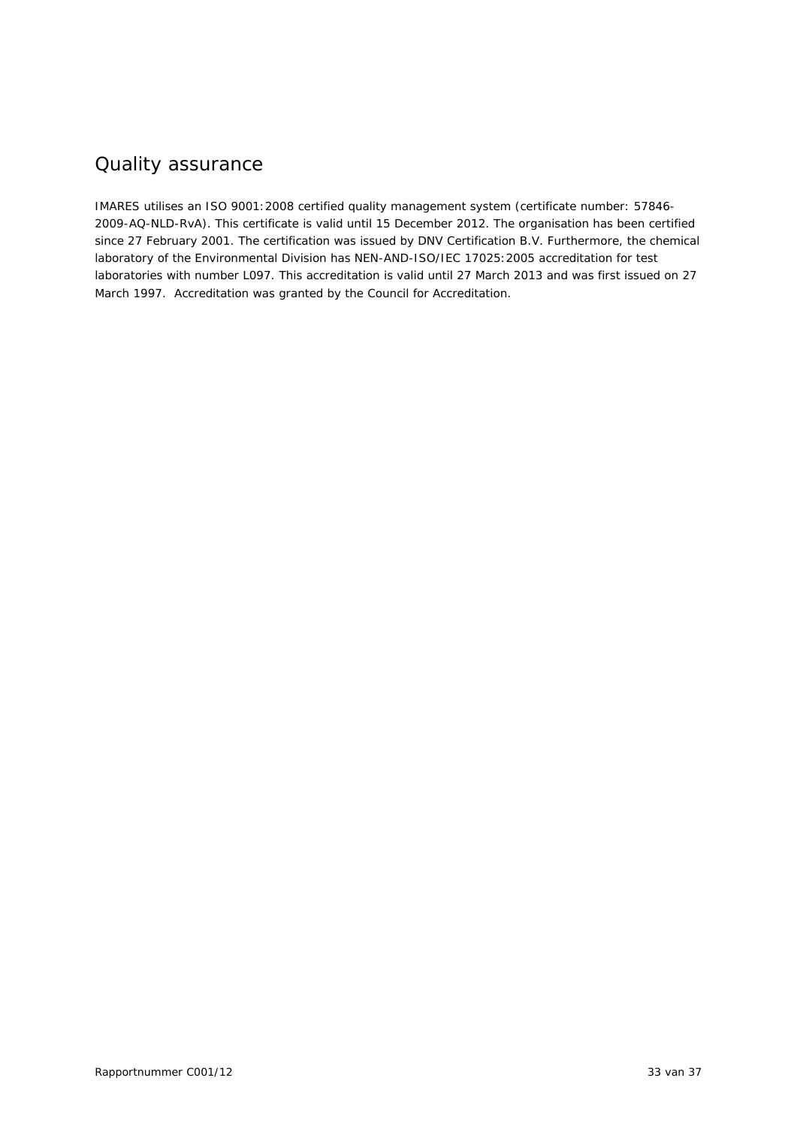# Quality assurance

IMARES utilises an ISO 9001:2008 certified quality management system (certificate number: 57846- 2009-AQ-NLD-RvA). This certificate is valid until 15 December 2012. The organisation has been certified since 27 February 2001. The certification was issued by DNV Certification B.V. Furthermore, the chemical laboratory of the Environmental Division has NEN-AND-ISO/IEC 17025:2005 accreditation for test laboratories with number L097. This accreditation is valid until 27 March 2013 and was first issued on 27 March 1997. Accreditation was granted by the Council for Accreditation.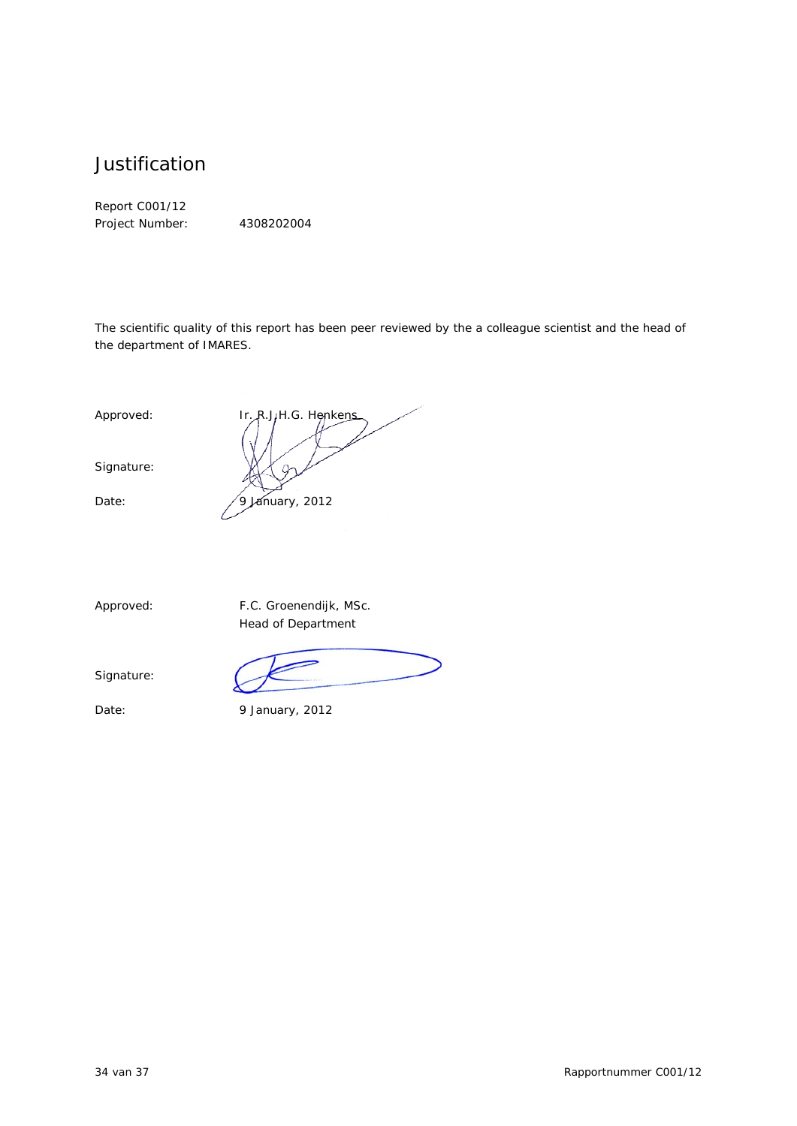# Justification

Report C001/12 Project Number: 4308202004

The scientific quality of this report has been peer reviewed by the a colleague scientist and the head of the department of IMARES.

Signature:

Approved: Ir. R.J.H.G. Henkens Date: 19 January, 2012

Signature:

Approved: F.C. Groenendijk, MSc. Head of Department

Date: 9 January, 2012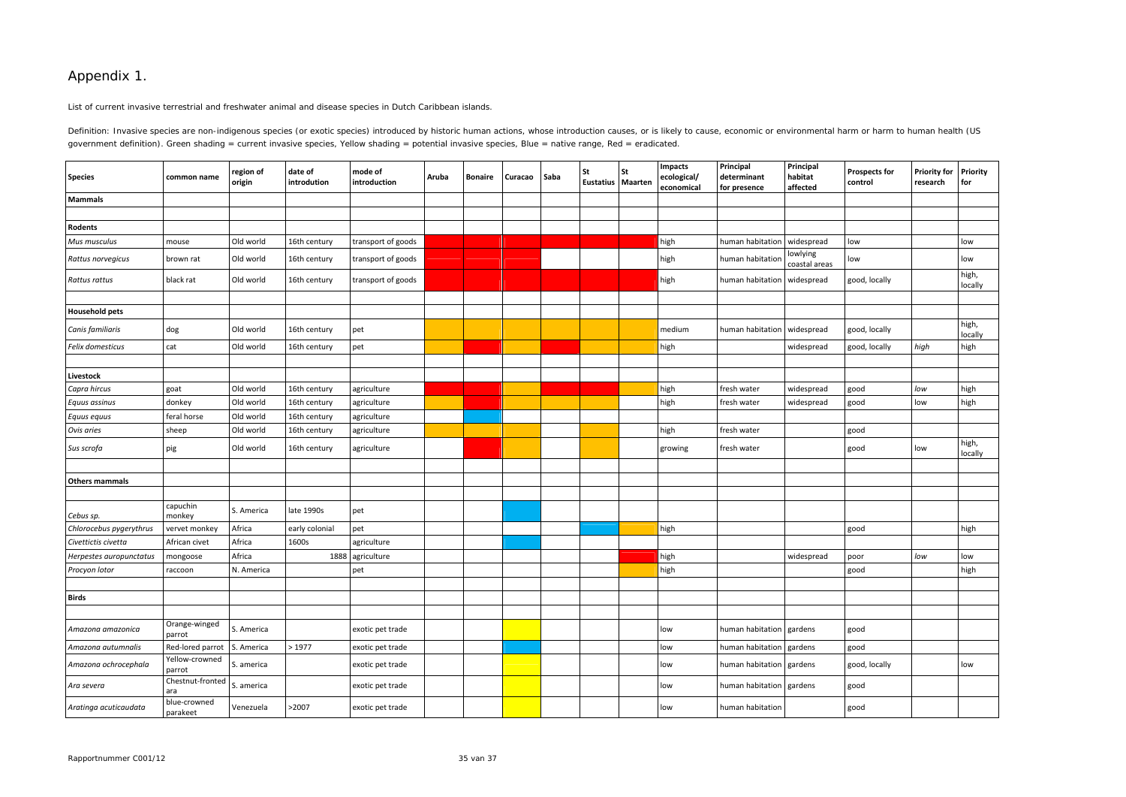# Appendix 1.

List of current invasive terrestrial and freshwater animal and disease species in Dutch Caribbean islands.

Definition: Invasive species are non-indigenous species (or exotic species) introduced by historic human actions, whose introduction causes, or is likely to cause, economic or environmental harm or harm to human health (US government definition). Green shading = current invasive species, Yellow shading = potential invasive species, Blue = native range, Red = eradicated.

| <b>Species</b>          | common name                   | region of<br>origin | date of<br>introdution | mode of<br>introduction | Aruba | <b>Bonaire</b> | Curacao | Saba | <b>St</b><br>Eustatius Maarten | <b>St</b> | Impacts<br>ecological/<br>economical | Principal<br>determinant<br>for presence | Principal<br>habitat<br>affected | <b>Prospects for</b><br>control | <b>Priority for</b><br>research | <b>Priority</b><br>for |
|-------------------------|-------------------------------|---------------------|------------------------|-------------------------|-------|----------------|---------|------|--------------------------------|-----------|--------------------------------------|------------------------------------------|----------------------------------|---------------------------------|---------------------------------|------------------------|
| <b>Mammals</b>          |                               |                     |                        |                         |       |                |         |      |                                |           |                                      |                                          |                                  |                                 |                                 |                        |
|                         |                               |                     |                        |                         |       |                |         |      |                                |           |                                      |                                          |                                  |                                 |                                 |                        |
| Rodents                 |                               |                     |                        |                         |       |                |         |      |                                |           |                                      |                                          |                                  |                                 |                                 |                        |
| Mus musculus            | mouse                         | Old world           | 16th century           | transport of goods      |       |                |         |      |                                |           | high                                 | human habitation                         | widespread                       | low                             |                                 | low                    |
| Rattus norvegicus       | brown rat                     | Old world           | 16th century           | transport of goods      |       |                |         |      |                                |           | high                                 | human habitation                         | lowlying<br>coastal areas        | low                             |                                 | low                    |
| Rattus rattus           | black rat                     | Old world           | 16th century           | transport of goods      |       |                |         |      |                                |           | high                                 | human habitation widespread              |                                  | good, locally                   |                                 | high,<br>locally       |
|                         |                               |                     |                        |                         |       |                |         |      |                                |           |                                      |                                          |                                  |                                 |                                 |                        |
| <b>Household pets</b>   |                               |                     |                        |                         |       |                |         |      |                                |           |                                      |                                          |                                  |                                 |                                 |                        |
| Canis familiaris        | dog                           | Old world           | 16th century           | pet                     |       |                |         |      |                                |           | medium                               | human habitation   widespread            |                                  | good, locally                   |                                 | high,<br>locally       |
| Felix domesticus        | cat                           | Old world           | 16th century           | pet                     |       |                |         |      |                                |           | high                                 |                                          | widespread                       | good, locally                   | high                            | high                   |
|                         |                               |                     |                        |                         |       |                |         |      |                                |           |                                      |                                          |                                  |                                 |                                 |                        |
| Livestock               |                               |                     |                        |                         |       |                |         |      |                                |           |                                      |                                          |                                  |                                 |                                 |                        |
| Capra hircus            | goat                          | Old world           | 16th century           | agriculture             |       |                |         |      |                                |           | high                                 | fresh water                              | widespread                       | good                            | low                             | high                   |
| Equus assinus           | donkey                        | Old world           | 16th century           | agriculture             |       |                |         |      |                                |           | high                                 | fresh water                              | widespread                       | good                            | low                             | high                   |
| Equus equus             | feral horse                   | Old world           | 16th century           | agriculture             |       |                |         |      |                                |           |                                      |                                          |                                  |                                 |                                 |                        |
| Ovis aries              | sheep                         | Old world           | 16th century           | agriculture             |       |                |         |      |                                |           | high                                 | fresh water                              |                                  | good                            |                                 |                        |
| Sus scrofa              | pig                           | Old world           | 16th century           | agriculture             |       |                |         |      |                                |           | growing                              | fresh water                              |                                  | good                            | low                             | high,<br>locally       |
|                         |                               |                     |                        |                         |       |                |         |      |                                |           |                                      |                                          |                                  |                                 |                                 |                        |
| <b>Others mammals</b>   |                               |                     |                        |                         |       |                |         |      |                                |           |                                      |                                          |                                  |                                 |                                 |                        |
|                         |                               |                     |                        |                         |       |                |         |      |                                |           |                                      |                                          |                                  |                                 |                                 |                        |
| Cebus sp.               | capuchin<br>monkey            | S. America          | late 1990s             | pet                     |       |                |         |      |                                |           |                                      |                                          |                                  |                                 |                                 |                        |
| Chlorocebus pygerythrus | vervet monkey                 | Africa              | early colonial         | pet                     |       |                |         |      |                                |           | high                                 |                                          |                                  | good                            |                                 | high                   |
| Civettictis civetta     | African civet                 | Africa              | 1600s                  | agriculture             |       |                |         |      |                                |           |                                      |                                          |                                  |                                 |                                 |                        |
| Herpestes auropunctatus | mongoose                      | Africa              |                        | 1888 agriculture        |       |                |         |      |                                |           | high                                 |                                          | widespread                       | poor                            | low                             | low                    |
| Procyon lotor           | raccoon                       | N. America          |                        | pet                     |       |                |         |      |                                |           | high                                 |                                          |                                  | good                            |                                 | high                   |
|                         |                               |                     |                        |                         |       |                |         |      |                                |           |                                      |                                          |                                  |                                 |                                 |                        |
| <b>Birds</b>            |                               |                     |                        |                         |       |                |         |      |                                |           |                                      |                                          |                                  |                                 |                                 |                        |
|                         |                               |                     |                        |                         |       |                |         |      |                                |           |                                      |                                          |                                  |                                 |                                 |                        |
| Amazona amazonica       | Orange-winged<br>parrot       | S. America          |                        | exotic pet trade        |       |                |         |      |                                |           | low                                  | human habitation gardens                 |                                  | good                            |                                 |                        |
| Amazona autumnalis      | Red-lored parrot   S. America |                     | >1977                  | exotic pet trade        |       |                |         |      |                                |           | low                                  | human habitation $g$ ardens              |                                  | good                            |                                 |                        |
| Amazona ochrocephala    | Yellow-crowned<br>parrot      | S. america          |                        | exotic pet trade        |       |                |         |      |                                |           | low                                  | human habitation $g$ ardens              |                                  | good, locally                   |                                 | low                    |
| Ara severa              | Chestnut-fronted<br>ara       | S. america          |                        | exotic pet trade        |       |                |         |      |                                |           | low                                  | human habitation gardens                 |                                  | good                            |                                 |                        |
| Aratinga acuticaudata   | blue-crowned<br>parakeet      | Venezuela           | >2007                  | exotic pet trade        |       |                |         |      |                                |           | low                                  | human habitation                         |                                  | good                            |                                 |                        |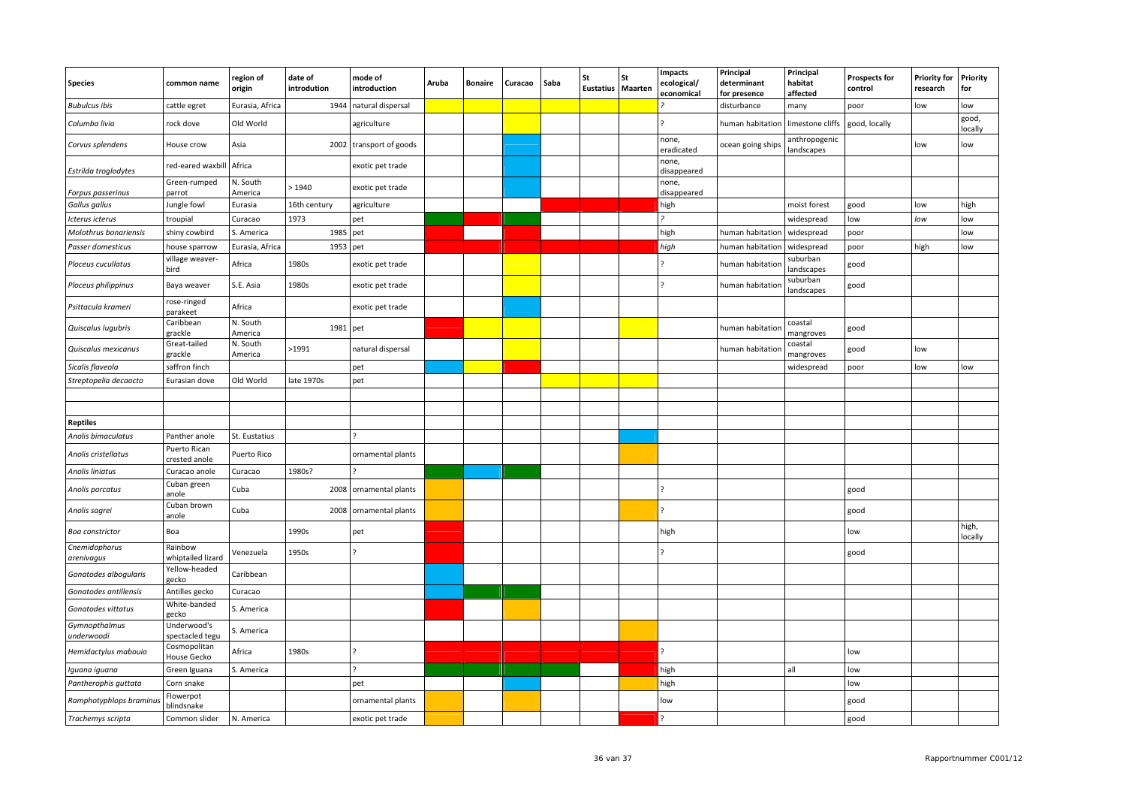| <b>Species</b>              | common name                    | region of<br>origin | date of<br>introdution | mode of<br>introduction | Aruba | <b>Bonaire</b> | Curacao | Saba | l St<br>Eustatius   Maarten | <b>St</b> | <b>Impacts</b><br>ecological/<br>economical | Principal<br>determinant<br>for presence | Principal<br>habitat<br>affected | <b>Prospects for</b><br>control | <b>Priority for</b><br>research | <b>Priority</b><br>for |
|-----------------------------|--------------------------------|---------------------|------------------------|-------------------------|-------|----------------|---------|------|-----------------------------|-----------|---------------------------------------------|------------------------------------------|----------------------------------|---------------------------------|---------------------------------|------------------------|
| <b>Bubulcus ibis</b>        | cattle egret                   | Eurasia, Africa     |                        | 1944 natural dispersal  |       |                |         |      |                             |           |                                             | disturbance                              | many                             | poor                            | low                             | low                    |
| Columba livia               | rock dove                      | Old World           |                        | agriculture             |       |                |         |      |                             |           |                                             | human habitation                         | limestone cliffs                 | good, locally                   |                                 | good,<br>locally       |
| Corvus splendens            | House crow                     | Asia                |                        | 2002 transport of goods |       |                |         |      |                             |           | none,<br>eradicated                         | ocean going ships                        | anthropogenic<br>landscapes      |                                 | low                             | low                    |
| Estrilda troglodytes        | red-eared waxbill              | Africa              |                        | exotic pet trade        |       |                |         |      |                             |           | none,<br>disappeared                        |                                          |                                  |                                 |                                 |                        |
| Forpus passerinus           | Green-rumped<br>parrot         | N. South<br>America | >1940                  | exotic pet trade        |       |                |         |      |                             |           | none,<br>disappeared                        |                                          |                                  |                                 |                                 |                        |
| Gallus gallus               | Jungle fowl                    | Eurasia             | 16th century           | agriculture             |       |                |         |      |                             |           | high                                        |                                          | moist forest                     | good                            | low                             | high                   |
| Icterus icterus             | troupial                       | Curacao             | 1973                   | pet                     |       |                |         |      |                             |           |                                             |                                          | widespread                       | low                             | low                             | low                    |
| Molothrus bonariensis       | shiny cowbird                  | S. America          | 1985 pet               |                         |       |                |         |      |                             |           | high                                        | human habitation                         | widespread                       | poor                            |                                 | low                    |
| Passer domesticus           | house sparrow                  | Eurasia, Africa     | 1953 pet               |                         |       |                |         |      |                             |           | high                                        | human habitation                         | widespread                       | poor                            | high                            | low                    |
| Ploceus cucullatus          | village weaver-<br>bird        | Africa              | 1980s                  | exotic pet trade        |       |                |         |      |                             |           |                                             | human habitation                         | suburban<br>landscapes           | good                            |                                 |                        |
| Ploceus philippinus         | Baya weaver                    | S.E. Asia           | 1980s                  | exotic pet trade        |       |                |         |      |                             |           | ?                                           | human habitatio                          | suburban<br>landscapes           | good                            |                                 |                        |
| Psittacula krameri          | rose-ringed<br>parakeet        | Africa              |                        | exotic pet trade        |       |                |         |      |                             |           |                                             |                                          |                                  |                                 |                                 |                        |
| Quiscalus lugubris          | Caribbean<br>grackle           | N. South<br>America | 1981 pet               |                         |       |                |         |      |                             |           |                                             | human habitation                         | coastal<br>mangroves             | good                            |                                 |                        |
| Quiscalus mexicanus         | Great-tailed<br>grackle        | N. South<br>America | >1991                  | natural dispersal       |       |                |         |      |                             |           |                                             | human habitation                         | coastal<br>mangroves             | good                            | low                             |                        |
| Sicalis flaveola            | saffron finch                  |                     |                        | pet                     |       |                |         |      |                             |           |                                             |                                          | widespread                       | poor                            | low                             | low                    |
| Streptopelia decaocto       | Eurasian dove                  | Old World           | late 1970s             | pet                     |       |                |         |      |                             |           |                                             |                                          |                                  |                                 |                                 |                        |
|                             |                                |                     |                        |                         |       |                |         |      |                             |           |                                             |                                          |                                  |                                 |                                 |                        |
|                             |                                |                     |                        |                         |       |                |         |      |                             |           |                                             |                                          |                                  |                                 |                                 |                        |
| <b>Reptiles</b>             |                                |                     |                        |                         |       |                |         |      |                             |           |                                             |                                          |                                  |                                 |                                 |                        |
| Anolis bimaculatus          | Panther anole                  | St. Eustatius       |                        |                         |       |                |         |      |                             |           |                                             |                                          |                                  |                                 |                                 |                        |
| Anolis cristellatus         | Puerto Rican<br>crested anole  | Puerto Rico         |                        | ornamental plants       |       |                |         |      |                             |           |                                             |                                          |                                  |                                 |                                 |                        |
| Anolis liniatus             | Curacao anole                  | Curacao             | 1980s?                 |                         |       |                |         |      |                             |           |                                             |                                          |                                  |                                 |                                 |                        |
| Anolis porcatus             | Cuban green<br>anole           | Cuba                |                        | 2008 ornamental plants  |       |                |         |      |                             |           | $\overline{ }$                              |                                          |                                  | good                            |                                 |                        |
| Anolis sagrei               | Cuban brown<br>anole           | Cuba                |                        | 2008 ornamental plants  |       |                |         |      |                             |           | C.                                          |                                          |                                  | good                            |                                 |                        |
| Boa constrictor             | Boa                            |                     | 1990s                  | pet                     |       |                |         |      |                             |           | high                                        |                                          |                                  | low                             |                                 | high,<br>locally       |
| Cnemidophorus<br>arenivagus | Rainbow<br>whiptailed lizard   | Venezuela           | 1950s                  |                         |       |                |         |      |                             |           | ς                                           |                                          |                                  | good                            |                                 |                        |
| Gonatodes albogularis       | Yellow-headed<br>gecko         | Caribbean           |                        |                         |       |                |         |      |                             |           |                                             |                                          |                                  |                                 |                                 |                        |
| Gonatodes antillensis       | Antilles gecko                 | Curacao             |                        |                         |       |                |         |      |                             |           |                                             |                                          |                                  |                                 |                                 |                        |
| Gonatodes vittatus          | White-banded<br>gecko          | S. America          |                        |                         |       |                |         |      |                             |           |                                             |                                          |                                  |                                 |                                 |                        |
| Gymnopthalmus<br>underwoodi | Underwood's<br>spectacled tegu | S. America          |                        |                         |       |                |         |      |                             |           |                                             |                                          |                                  |                                 |                                 |                        |
| Hemidactylus mabouia        | Cosmopolitan<br>House Gecko    | Africa              | 1980s                  |                         |       |                |         |      |                             |           | P.                                          |                                          |                                  | low                             |                                 |                        |
| Iguana iguana               | Green Iguana                   | S. America          |                        |                         |       |                |         |      |                             |           | high                                        |                                          | all                              | low                             |                                 |                        |
| Pantherophis guttata        | Corn snake                     |                     |                        | pet                     |       |                |         |      |                             |           | high                                        |                                          |                                  | low                             |                                 |                        |
| Ramphotyphlops braminus     | Flowerpot<br>blindsnake        |                     |                        | ornamental plants       |       |                |         |      |                             |           | low                                         |                                          |                                  | good                            |                                 |                        |
| Trachemys scripta           | Common slider                  | N. America          |                        | exotic pet trade        |       |                |         |      |                             |           | $\overline{?}$                              |                                          |                                  | good                            |                                 |                        |